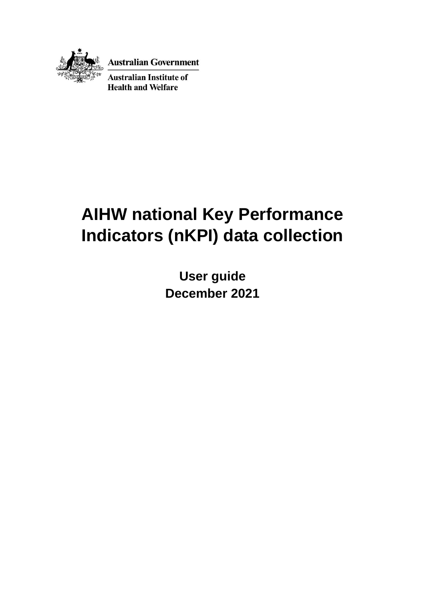

**Australian Government** 

**Australian Institute of Health and Welfare** 

# **AIHW national Key Performance Indicators (nKPI) data collection**

**User guide December 2021**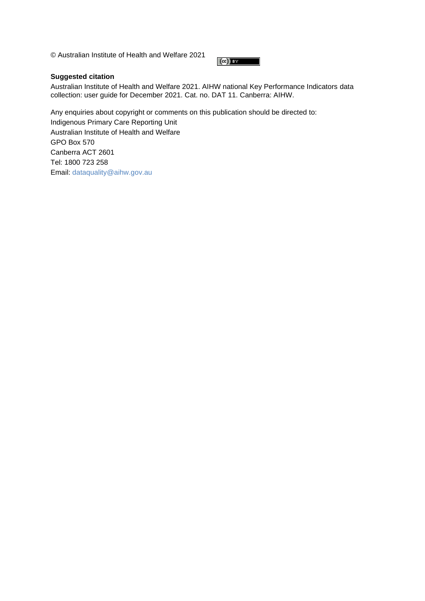© Australian Institute of Health and Welfare 2021

#### $(cc)$  BY

#### **Suggested citation**

Australian Institute of Health and Welfare 2021. AIHW national Key Performance Indicators data collection: user guide for December 2021. Cat. no. DAT 11. Canberra: AIHW.

Any enquiries about copyright or comments on this publication should be directed to: Indigenous Primary Care Reporting Unit Australian Institute of Health and Welfare GPO Box 570 Canberra ACT 2601 Tel: 1800 723 258 Email: [dataquality@aihw.gov.au](mailto:dataquality@aihw.gov.au)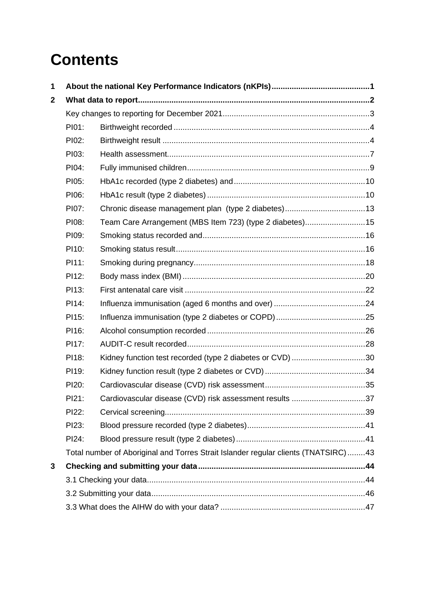# **Contents**

| 1           |       |                                                                                    |  |  |  |  |  |
|-------------|-------|------------------------------------------------------------------------------------|--|--|--|--|--|
| $\mathbf 2$ |       |                                                                                    |  |  |  |  |  |
|             |       |                                                                                    |  |  |  |  |  |
|             | PI01: |                                                                                    |  |  |  |  |  |
|             | PI02: |                                                                                    |  |  |  |  |  |
|             | PI03: |                                                                                    |  |  |  |  |  |
|             | PI04: |                                                                                    |  |  |  |  |  |
|             | PI05: |                                                                                    |  |  |  |  |  |
|             | PI06: |                                                                                    |  |  |  |  |  |
|             | PI07: |                                                                                    |  |  |  |  |  |
|             | PI08: | Team Care Arrangement (MBS Item 723) (type 2 diabetes)15                           |  |  |  |  |  |
|             | PI09: |                                                                                    |  |  |  |  |  |
|             | PI10: |                                                                                    |  |  |  |  |  |
|             | PI11: |                                                                                    |  |  |  |  |  |
|             | PI12: |                                                                                    |  |  |  |  |  |
|             | PI13: |                                                                                    |  |  |  |  |  |
|             | PI14: |                                                                                    |  |  |  |  |  |
|             | PI15: |                                                                                    |  |  |  |  |  |
|             | PI16: |                                                                                    |  |  |  |  |  |
|             | PI17: |                                                                                    |  |  |  |  |  |
|             | PI18: | Kidney function test recorded (type 2 diabetes or CVD) 30                          |  |  |  |  |  |
|             | PI19: |                                                                                    |  |  |  |  |  |
|             | PI20: |                                                                                    |  |  |  |  |  |
|             | PI21: | Cardiovascular disease (CVD) risk assessment results 37                            |  |  |  |  |  |
|             | PI22: |                                                                                    |  |  |  |  |  |
|             | PI23: |                                                                                    |  |  |  |  |  |
|             | PI24: |                                                                                    |  |  |  |  |  |
|             |       | Total number of Aboriginal and Torres Strait Islander regular clients (TNATSIRC)43 |  |  |  |  |  |
| 3           |       |                                                                                    |  |  |  |  |  |
|             |       |                                                                                    |  |  |  |  |  |
|             |       |                                                                                    |  |  |  |  |  |
|             |       |                                                                                    |  |  |  |  |  |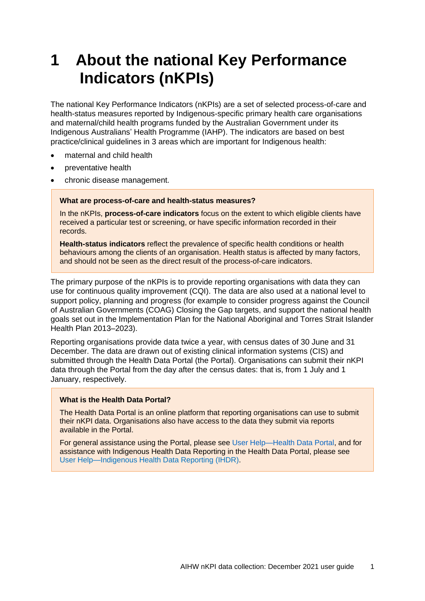# <span id="page-4-0"></span>**1 About the national Key Performance Indicators (nKPIs)**

The national Key Performance Indicators (nKPIs) are a set of selected process-of-care and health-status measures reported by Indigenous-specific primary health care organisations and maternal/child health programs funded by the Australian Government under its Indigenous Australians' Health Programme (IAHP). The indicators are based on best practice/clinical guidelines in 3 areas which are important for Indigenous health:

- maternal and child health
- preventative health
- chronic disease management.

#### **What are process-of-care and health-status measures?**

In the nKPIs, **process-of-care indicators** focus on the extent to which eligible clients have received a particular test or screening, or have specific information recorded in their records.

**Health-status indicators** reflect the prevalence of specific health conditions or health behaviours among the clients of an organisation. Health status is affected by many factors, and should not be seen as the direct result of the process-of-care indicators.

The primary purpose of the nKPIs is to provide reporting organisations with data they can use for continuous quality improvement (CQI). The data are also used at a national level to support policy, planning and progress (for example to consider progress against the Council of Australian Governments (COAG) [Closing the Gap targets,](https://www.pmc.gov.au/indigenous-affairs/closing-gap) and support the national health goals set out in the [Implementation Plan for the National Aboriginal and Torres Strait Islander](http://www.health.gov.au/internet/main/publishing.nsf/Content/natsih-plan)  [Health Plan 2013–2023\)](http://www.health.gov.au/internet/main/publishing.nsf/Content/natsih-plan).

Reporting organisations provide data twice a year, with census dates of 30 June and 31 December. The data are drawn out of existing clinical information systems (CIS) and submitted through the Health Data Portal (the Portal). Organisations can submit their nKPI data through the Portal from the day after the census dates: that is, from 1 July and 1 January, respectively.

#### **What is the Health Data Portal?**

The Health Data Portal is an online platform that reporting organisations can use to submit their nKPI data. Organisations also have access to the data they submit via reports available in the Portal.

For general assistance using the Portal, please see [User Help—Health Data Portal,](https://dataportal.health.gov.au/wps/portal/dataportalcontent/usersupport/userhelphdp/!ut/p/a1/nZDLboMwEEV_pZssLQ9gY7NESaUQglLUSAneRC44gQqMA07V9OtrFFXqps_ZXY09c-ZggfdYaPnSnKRtei3bKYvwQJM0AQJ-CtmCQBxRmkc0AZ4yvMMCi1JbY2tcVNJK0w9Wtndlr63SdgbjdbSqm8FlVMN4MVP7F) and for assistance with Indigenous Health Data Reporting in the Health Data Portal, please see [User Help—Indigenous Health Data Reporting \(IHDR\).](https://dataportal.health.gov.au/wps/portal/dataportalcontent/usersupport/userhelpihdr/)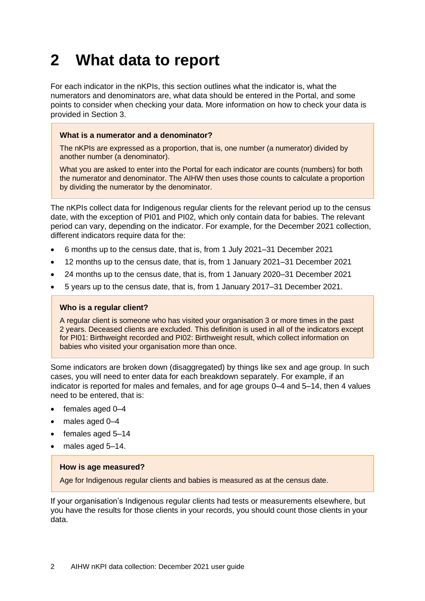# <span id="page-5-0"></span>**2 What data to report**

For each indicator in the nKPIs, this section outlines what the indicator is, what the numerators and denominators are, what data should be entered in the Portal, and some points to consider when checking your data. More information on how to check your data is provided in Section 3.

#### **What is a numerator and a denominator?**

The nKPIs are expressed as a proportion, that is, one number (a numerator) divided by another number (a denominator).

What you are asked to enter into the Portal for each indicator are counts (numbers) for both the numerator and denominator. The AIHW then uses those counts to calculate a proportion by dividing the numerator by the denominator.

The nKPIs collect data for Indigenous regular clients for the relevant period up to the census date, with the exception of PI01 and PI02, which only contain data for babies. The relevant period can vary, depending on the indicator. For example, for the December 2021 collection, different indicators require data for the:

- 6 months up to the census date, that is, from 1 July 2021–31 December 2021
- 12 months up to the census date, that is, from 1 January 2021–31 December 2021
- 24 months up to the census date, that is, from 1 January 2020–31 December 2021
- 5 years up to the census date, that is, from 1 January 2017–31 December 2021.

#### **Who is a regular client?**

A regular client is someone who has visited your organisation 3 or more times in the past 2 years. Deceased clients are excluded. This definition is used in all of the indicators except for PI01: Birthweight recorded and PI02: Birthweight result, which collect information on babies who visited your organisation more than once.

Some indicators are broken down (disaggregated) by things like sex and age group. In such cases, you will need to enter data for each breakdown separately. For example, if an indicator is reported for males and females, and for age groups 0–4 and 5–14, then 4 values need to be entered, that is:

- females aged 0-4
- males aged 0-4
- females aged 5–14
- males aged 5-14.

#### **How is age measured?**

Age for Indigenous regular clients and babies is measured as at the census date.

If your organisation's Indigenous regular clients had tests or measurements elsewhere, but you have the results for those clients in your records, you should count those clients in your data.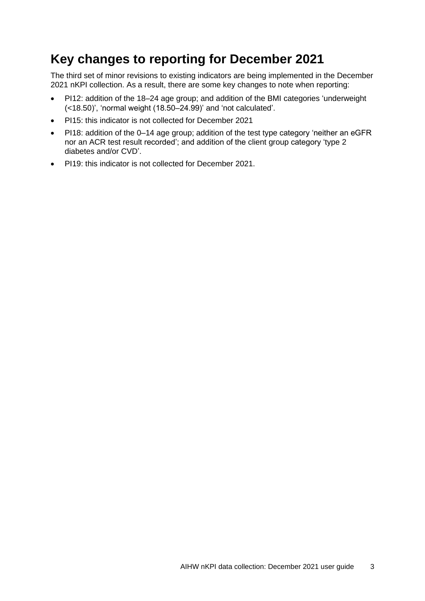## <span id="page-6-0"></span>**Key changes to reporting for December 2021**

The third set of minor revisions to existing indicators are being implemented in the December 2021 nKPI collection. As a result, there are some key changes to note when reporting:

- PI12: addition of the 18–24 age group; and addition of the BMI categories 'underweight (<18.50)', 'normal weight (18.50–24.99)' and 'not calculated'.
- PI15: this indicator is not collected for December 2021
- PI18: addition of the 0–14 age group; addition of the test type category 'neither an eGFR nor an ACR test result recorded'; and addition of the client group category 'type 2 diabetes and/or CVD'.
- PI19: this indicator is not collected for December 2021.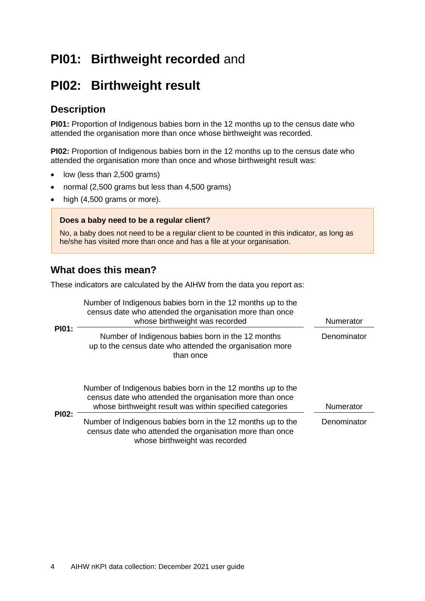## <span id="page-7-0"></span>**PI01: Birthweight recorded** and

## <span id="page-7-1"></span>**PI02: Birthweight result**

### **Description**

**PI01:** Proportion of Indigenous babies born in the 12 months up to the census date who attended the organisation more than once whose birthweight was recorded.

**PI02:** Proportion of Indigenous babies born in the 12 months up to the census date who attended the organisation more than once and whose birthweight result was:

- low (less than 2,500 grams)
- normal (2,500 grams but less than 4,500 grams)
- high (4,500 grams or more).

#### **Does a baby need to be a regular client?**

No, a baby does not need to be a regular client to be counted in this indicator, as long as he/she has visited more than once and has a file at your organisation.

### **What does this mean?**

These indicators are calculated by the AIHW from the data you report as:

|              | Number of Indigenous babies born in the 12 months up to the<br>census date who attended the organisation more than once<br>whose birthweight was recorded                           | Numerator   |
|--------------|-------------------------------------------------------------------------------------------------------------------------------------------------------------------------------------|-------------|
| <b>PI01:</b> | Number of Indigenous babies born in the 12 months<br>up to the census date who attended the organisation more<br>than once                                                          | Denominator |
|              | Number of Indigenous babies born in the 12 months up to the<br>census date who attended the organisation more than once<br>whose birthweight result was within specified categories | Numerator   |
| <b>PI02:</b> | Number of Indigenous babies born in the 12 months up to the<br>census date who attended the organisation more than once<br>whose birthweight was recorded                           | Denominator |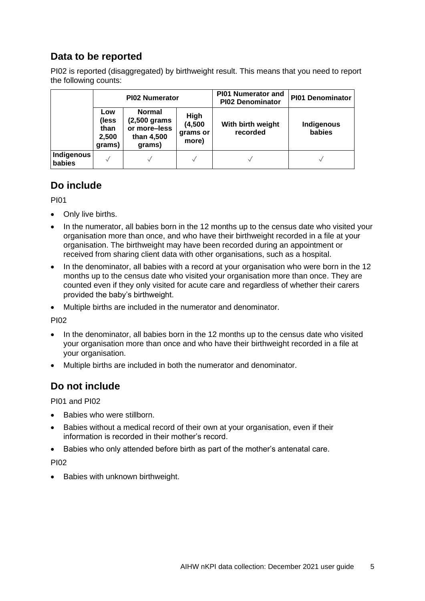### **Data to be reported**

PI02 is reported (disaggregated) by birthweight result. This means that you need to report the following counts:

|                      |                                         | <b>PI02 Numerator</b>                                                 |                                      | <b>PI01 Numerator and</b><br><b>PI02 Denominator</b> | <b>PI01 Denominator</b> |
|----------------------|-----------------------------------------|-----------------------------------------------------------------------|--------------------------------------|------------------------------------------------------|-------------------------|
|                      | Low<br>(less<br>than<br>2,500<br>grams) | <b>Normal</b><br>(2,500 grams<br>or more-less<br>than 4,500<br>grams) | High<br>(4,500)<br>grams or<br>more) | With birth weight<br>recorded                        | Indigenous<br>babies    |
| Indigenous<br>babies |                                         |                                                                       |                                      |                                                      | $\checkmark$            |

### **Do include**

PI01

- Only live births.
- In the numerator, all babies born in the 12 months up to the census date who visited your organisation more than once, and who have their birthweight recorded in a file at your organisation. The birthweight may have been recorded during an appointment or received from sharing client data with other organisations, such as a hospital.
- In the denominator, all babies with a record at your organisation who were born in the 12 months up to the census date who visited your organisation more than once. They are counted even if they only visited for acute care and regardless of whether their carers provided the baby's birthweight.
- Multiple births are included in the numerator and denominator.

PI02

- In the denominator, all babies born in the 12 months up to the census date who visited your organisation more than once and who have their birthweight recorded in a file at your organisation.
- Multiple births are included in both the numerator and denominator.

### **Do not include**

PI01 and PI02

- Babies who were stillborn.
- Babies without a medical record of their own at your organisation, even if their information is recorded in their mother's record.
- Babies who only attended before birth as part of the mother's antenatal care.

PI02

• Babies with unknown birthweight.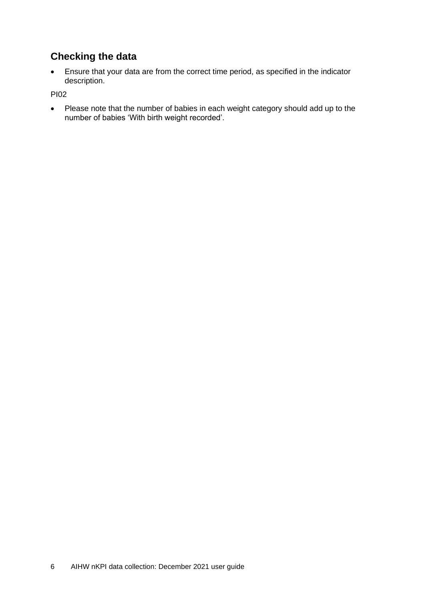### **Checking the data**

• Ensure that your data are from the correct time period, as specified in the indicator description.

PI02

• Please note that the number of babies in each weight category should add up to the number of babies 'With birth weight recorded'.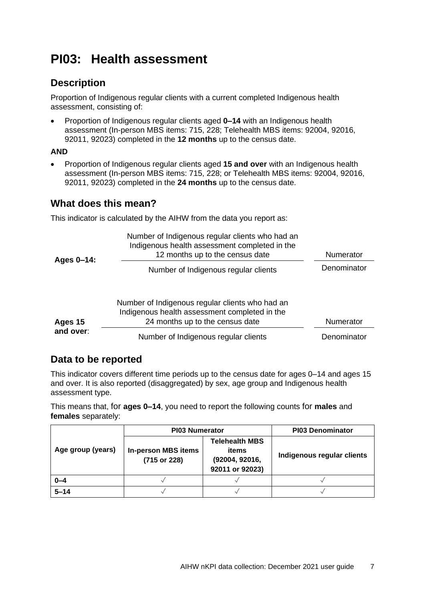## <span id="page-10-0"></span>**PI03: Health assessment**

### **Description**

Proportion of Indigenous regular clients with a current completed Indigenous health assessment, consisting of:

• Proportion of Indigenous regular clients aged **0–14** with an Indigenous health assessment (In-person MBS items: 715, 228; Telehealth MBS items: 92004, 92016, 92011, 92023) completed in the **12 months** up to the census date.

#### **AND**

• Proportion of Indigenous regular clients aged **15 and over** with an Indigenous health assessment (In-person MBS items: 715, 228; or Telehealth MBS items: 92004, 92016, 92011, 92023) completed in the **24 months** up to the census date.

### **What does this mean?**

This indicator is calculated by the AIHW from the data you report as:

| Ages 0-14: | Number of Indigenous regular clients who had an<br>Indigenous health assessment completed in the<br>12 months up to the census date | Numerator   |  |
|------------|-------------------------------------------------------------------------------------------------------------------------------------|-------------|--|
|            | Number of Indigenous regular clients                                                                                                | Denominator |  |
| Ages 15    | Number of Indigenous regular clients who had an<br>Indigenous health assessment completed in the<br>24 months up to the census date | Numerator   |  |
| and over:  | Number of Indigenous regular clients                                                                                                | Denominator |  |

### **Data to be reported**

This indicator covers different time periods up to the census date for ages 0–14 and ages 15 and over. It is also reported (disaggregated) by sex, age group and Indigenous health assessment type.

This means that, for **ages 0–14**, you need to report the following counts for **males** and **females** separately:

|                   | <b>PI03 Numerator</b>                      | <b>PI03 Denominator</b>                                             |                            |
|-------------------|--------------------------------------------|---------------------------------------------------------------------|----------------------------|
| Age group (years) | <b>In-person MBS items</b><br>(715 or 228) | <b>Telehealth MBS</b><br>items<br>(92004, 92016,<br>92011 or 92023) | Indigenous regular clients |
| $0 - 4$           |                                            |                                                                     |                            |
| $5 - 14$          |                                            |                                                                     |                            |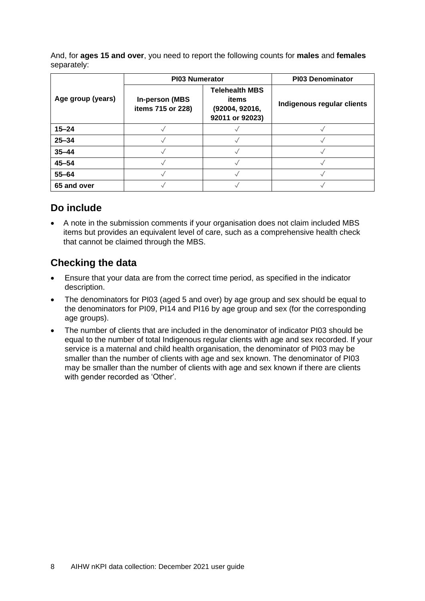And, for **ages 15 and over**, you need to report the following counts for **males** and **females** separately:

|                   | <b>PI03 Numerator</b>                       | <b>PI03 Denominator</b>                                             |                            |
|-------------------|---------------------------------------------|---------------------------------------------------------------------|----------------------------|
| Age group (years) | <b>In-person (MBS)</b><br>items 715 or 228) | <b>Telehealth MBS</b><br>items<br>(92004, 92016,<br>92011 or 92023) | Indigenous regular clients |
| $15 - 24$         |                                             |                                                                     |                            |
| $25 - 34$         |                                             |                                                                     |                            |
| $35 - 44$         |                                             |                                                                     |                            |
| $45 - 54$         |                                             |                                                                     |                            |
| $55 - 64$         |                                             |                                                                     |                            |
| 65 and over       |                                             |                                                                     |                            |

### **Do include**

• A note in the submission comments if your organisation does not claim included MBS items but provides an equivalent level of care, such as a comprehensive health check that cannot be claimed through the MBS.

- Ensure that your data are from the correct time period, as specified in the indicator description.
- The denominators for PI03 (aged 5 and over) by age group and sex should be equal to the denominators for PI09, PI14 and PI16 by age group and sex (for the corresponding age groups).
- The number of clients that are included in the denominator of indicator PI03 should be equal to the number of total Indigenous regular clients with age and sex recorded. If your service is a maternal and child health organisation, the denominator of PI03 may be smaller than the number of clients with age and sex known. The denominator of PI03 may be smaller than the number of clients with age and sex known if there are clients with gender recorded as 'Other'.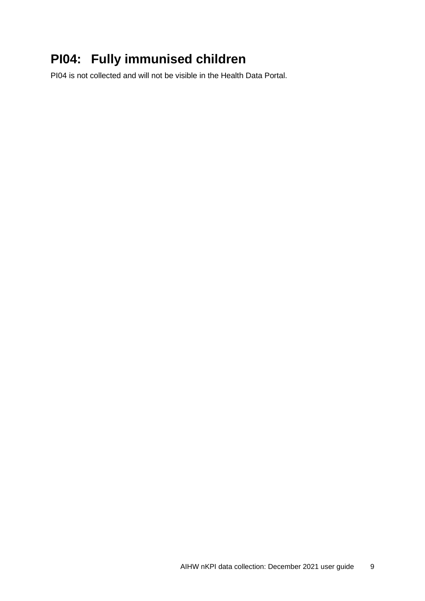## <span id="page-12-0"></span>**PI04: Fully immunised children**

PI04 is not collected and will not be visible in the Health Data Portal.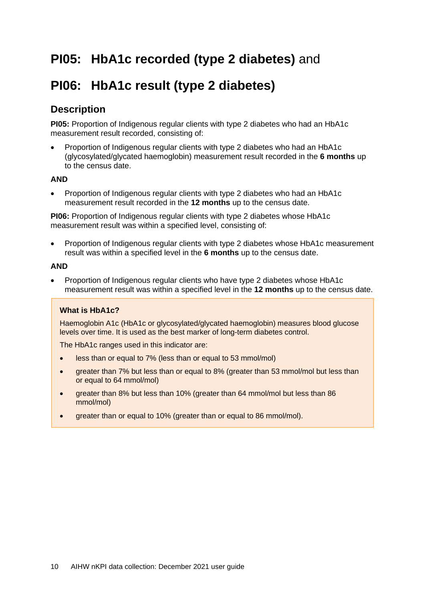## <span id="page-13-0"></span>**PI05: HbA1c recorded (type 2 diabetes)** and

## <span id="page-13-1"></span>**PI06: HbA1c result (type 2 diabetes)**

### **Description**

**PI05:** Proportion of Indigenous regular clients with type 2 diabetes who had an HbA1c measurement result recorded, consisting of:

• Proportion of Indigenous regular clients with type 2 diabetes who had an HbA1c (glycosylated/glycated haemoglobin) measurement result recorded in the **6 months** up to the census date.

#### **AND**

• Proportion of Indigenous regular clients with type 2 diabetes who had an HbA1c measurement result recorded in the **12 months** up to the census date.

**PI06:** Proportion of Indigenous regular clients with type 2 diabetes whose HbA1c measurement result was within a specified level, consisting of:

• Proportion of Indigenous regular clients with type 2 diabetes whose HbA1c measurement result was within a specified level in the **6 months** up to the census date.

#### **AND**

• Proportion of Indigenous regular clients who have type 2 diabetes whose HbA1c measurement result was within a specified level in the **12 months** up to the census date.

#### **What is HbA1c?**

Haemoglobin A1c (HbA1c or glycosylated/glycated haemoglobin) measures blood glucose levels over time. It is used as the best marker of long-term diabetes control.

The HbA1c ranges used in this indicator are:

- less than or equal to 7% (less than or equal to 53 mmol/mol)
- greater than 7% but less than or equal to 8% (greater than 53 mmol/mol but less than or equal to 64 mmol/mol)
- greater than 8% but less than 10% (greater than 64 mmol/mol but less than 86 mmol/mol)
- greater than or equal to 10% (greater than or equal to 86 mmol/mol).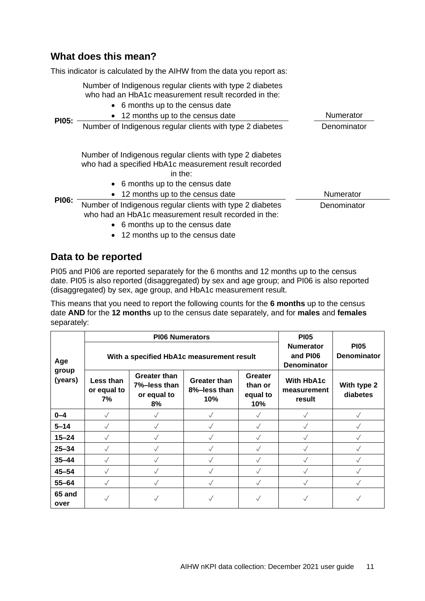### **What does this mean?**

This indicator is calculated by the AIHW from the data you report as:

Number of Indigenous regular clients with type 2 diabetes who had an HbA1c measurement result recorded in the:

• 6 months up to the census date

|              | <b>O THOMAGE OF THE UP TO A THOMAGE CALLY</b>                                                                                                         |             |  |
|--------------|-------------------------------------------------------------------------------------------------------------------------------------------------------|-------------|--|
|              | • 12 months up to the census date                                                                                                                     | Numerator   |  |
| <b>PI05:</b> | Number of Indigenous regular clients with type 2 diabetes                                                                                             | Denominator |  |
|              | Number of Indigenous regular clients with type 2 diabetes<br>who had a specified HbA1c measurement result recorded<br>in the:                         |             |  |
|              | • 6 months up to the census date<br>• 12 months up to the census date                                                                                 | Numerator   |  |
| <b>PI06:</b> | Number of Indigenous regular clients with type 2 diabetes<br>who had an HbA1c measurement result recorded in the:<br>• 6 months up to the census date | Denominator |  |

• 12 months up to the census date

### **Data to be reported**

PI05 and PI06 are reported separately for the 6 months and 12 months up to the census date. PI05 is also reported (disaggregated) by sex and age group; and PI06 is also reported (disaggregated) by sex, age group, and HbA1c measurement result.

This means that you need to report the following counts for the **6 months** up to the census date **AND** for the **12 months** up to the census date separately, and for **males** and **females** separately:

|                  |                                           | <b>PI06 Numerators</b>                                   |                                            |                                       | <b>PI05</b>                                 |                                   |
|------------------|-------------------------------------------|----------------------------------------------------------|--------------------------------------------|---------------------------------------|---------------------------------------------|-----------------------------------|
| Age              | With a specified HbA1c measurement result |                                                          |                                            |                                       | <b>Numerator</b><br>and PI06<br>Denominator | <b>PI05</b><br><b>Denominator</b> |
| group<br>(years) | Less than<br>or equal to<br>7%            | <b>Greater than</b><br>7%-less than<br>or equal to<br>8% | <b>Greater than</b><br>8%-less than<br>10% | Greater<br>than or<br>equal to<br>10% | <b>With HbA1c</b><br>measurement<br>result  | With type 2<br>diabetes           |
| $0 - 4$          | $\checkmark$                              |                                                          |                                            | $\checkmark$                          |                                             |                                   |
| $5 - 14$         | $\sqrt{}$                                 |                                                          |                                            | $\sqrt{}$                             |                                             |                                   |
| $15 - 24$        | $\checkmark$                              |                                                          |                                            | $\checkmark$                          |                                             |                                   |
| $25 - 34$        | $\checkmark$                              |                                                          |                                            | $\checkmark$                          |                                             |                                   |
| $35 - 44$        | $\checkmark$                              |                                                          |                                            | $\checkmark$                          |                                             |                                   |
| $45 - 54$        | $\checkmark$                              |                                                          |                                            | $\checkmark$                          |                                             |                                   |
| $55 - 64$        | $\checkmark$                              |                                                          |                                            | $\checkmark$                          |                                             |                                   |
| 65 and<br>over   | $\checkmark$                              |                                                          |                                            | $\checkmark$                          |                                             |                                   |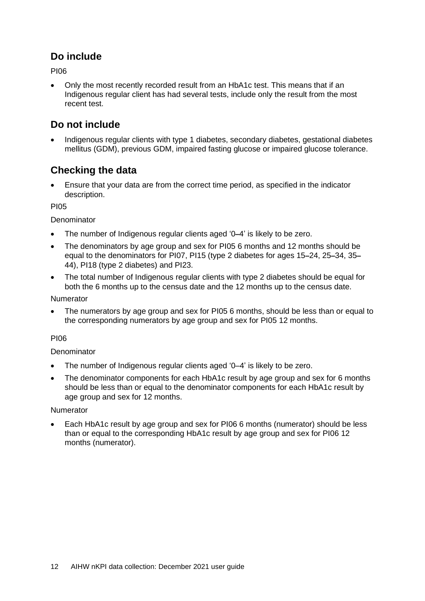### **Do include**

**PIN6** 

• Only the most recently recorded result from an HbA1c test. This means that if an Indigenous regular client has had several tests, include only the result from the most recent test.

### **Do not include**

• Indigenous regular clients with type 1 diabetes, secondary diabetes, gestational diabetes mellitus (GDM), previous GDM, impaired fasting glucose or impaired glucose tolerance.

### **Checking the data**

• Ensure that your data are from the correct time period, as specified in the indicator description.

PI05

**Denominator** 

- The number of Indigenous regular clients aged '0**–**4' is likely to be zero.
- The denominators by age group and sex for PI05 6 months and 12 months should be equal to the denominators for PI07, PI15 (type 2 diabetes for ages 15**–**24, 25**–**34, 35**–** 44), PI18 (type 2 diabetes) and PI23.
- The total number of Indigenous regular clients with type 2 diabetes should be equal for both the 6 months up to the census date and the 12 months up to the census date.

Numerator

• The numerators by age group and sex for PI05 6 months, should be less than or equal to the corresponding numerators by age group and sex for PI05 12 months.

#### PI06

#### **Denominator**

- The number of Indigenous regular clients aged '0–4' is likely to be zero.
- The denominator components for each HbA1c result by age group and sex for 6 months should be less than or equal to the denominator components for each HbA1c result by age group and sex for 12 months.

#### Numerator

• Each HbA1c result by age group and sex for PI06 6 months (numerator) should be less than or equal to the corresponding HbA1c result by age group and sex for PI06 12 months (numerator).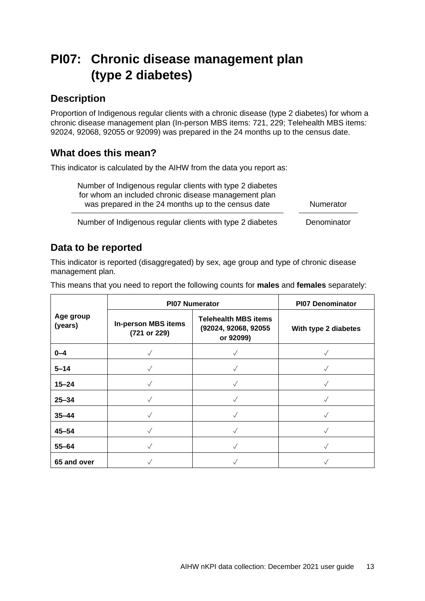## <span id="page-16-0"></span>**PI07: Chronic disease management plan (type 2 diabetes)**

### **Description**

Proportion of Indigenous regular clients with a chronic disease (type 2 diabetes) for whom a chronic disease management plan (In-person MBS items: 721, 229; Telehealth MBS items: 92024, 92068, 92055 or 92099) was prepared in the 24 months up to the census date.

### **What does this mean?**

This indicator is calculated by the AIHW from the data you report as:

| Number of Indigenous regular clients with type 2 diabetes |           |
|-----------------------------------------------------------|-----------|
| for whom an included chronic disease management plan      |           |
| was prepared in the 24 months up to the census date       | Numerator |
|                                                           |           |

Number of Indigenous regular clients with type 2 diabetes Denominator

### **Data to be reported**

This indicator is reported (disaggregated) by sex, age group and type of chronic disease management plan.

This means that you need to report the following counts for **males** and **females** separately:

|                      | <b>PI07 Numerator</b>                      | <b>PI07 Denominator</b>                                          |                      |
|----------------------|--------------------------------------------|------------------------------------------------------------------|----------------------|
| Age group<br>(years) | <b>In-person MBS items</b><br>(721 or 229) | <b>Telehealth MBS items</b><br>(92024, 92068, 92055<br>or 92099) | With type 2 diabetes |
| $0 - 4$              | $\sqrt{}$                                  |                                                                  |                      |
| $5 - 14$             |                                            |                                                                  |                      |
| $15 - 24$            |                                            | $\checkmark$                                                     |                      |
| $25 - 34$            |                                            |                                                                  |                      |
| $35 - 44$            |                                            |                                                                  |                      |
| $45 - 54$            |                                            |                                                                  |                      |
| $55 - 64$            |                                            |                                                                  |                      |
| 65 and over          |                                            |                                                                  |                      |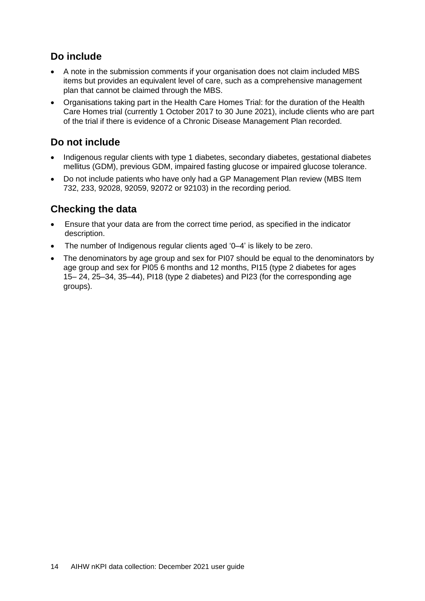### **Do include**

- A note in the submission comments if your organisation does not claim included MBS items but provides an equivalent level of care, such as a comprehensive management plan that cannot be claimed through the MBS.
- Organisations taking part in the Health Care Homes Trial: for the duration of the Health Care Homes trial (currently 1 October 2017 to 30 June 2021), include clients who are part of the trial if there is evidence of a Chronic Disease Management Plan recorded.

### **Do not include**

- Indigenous regular clients with type 1 diabetes, secondary diabetes, gestational diabetes mellitus (GDM), previous GDM, impaired fasting glucose or impaired glucose tolerance.
- Do not include patients who have only had a GP Management Plan review (MBS Item 732, 233, 92028, 92059, 92072 or 92103) in the recording period.

- Ensure that your data are from the correct time period, as specified in the indicator description.
- The number of Indigenous regular clients aged '0–4' is likely to be zero.
- The denominators by age group and sex for PI07 should be equal to the denominators by age group and sex for PI05 6 months and 12 months, PI15 (type 2 diabetes for ages 15– 24, 25–34, 35–44), PI18 (type 2 diabetes) and PI23 (for the corresponding age groups).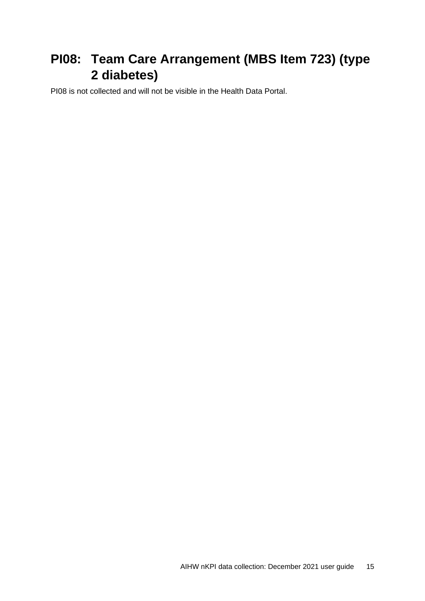## <span id="page-18-0"></span>**PI08: Team Care Arrangement (MBS Item 723) (type 2 diabetes)**

PI08 is not collected and will not be visible in the Health Data Portal.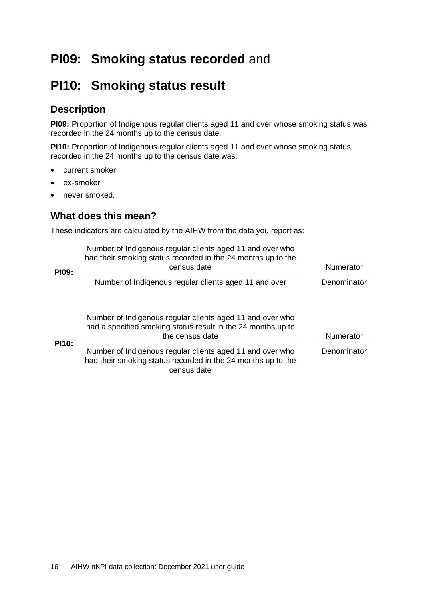## <span id="page-19-0"></span>**PI09: Smoking status recorded** and

### <span id="page-19-1"></span>**PI10: Smoking status result**

### **Description**

**PI09:** Proportion of Indigenous regular clients aged 11 and over whose smoking status was recorded in the 24 months up to the census date.

**PI10:** Proportion of Indigenous regular clients aged 11 and over whose smoking status recorded in the 24 months up to the census date was:

- current smoker
- ex-smoker
- never smoked.

### **What does this mean?**

These indicators are calculated by the AIHW from the data you report as:

| <b>PI09:</b> | Number of Indigenous regular clients aged 11 and over who<br>had their smoking status recorded in the 24 months up to the<br>census date     | <b>Numerator</b> |  |
|--------------|----------------------------------------------------------------------------------------------------------------------------------------------|------------------|--|
|              | Number of Indigenous regular clients aged 11 and over                                                                                        | Denominator      |  |
|              | Number of Indigenous regular clients aged 11 and over who<br>had a specified smoking status result in the 24 months up to<br>the census date | <b>Numerator</b> |  |
| <b>PI10:</b> | Number of Indigenous regular clients aged 11 and over who<br>had their smoking status recorded in the 24 months up to the<br>census date     | Denominator      |  |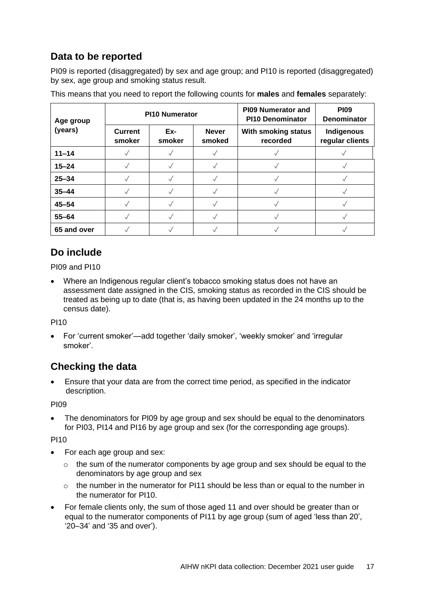### **Data to be reported**

PI09 is reported (disaggregated) by sex and age group; and PI10 is reported (disaggregated) by sex, age group and smoking status result.

| Age group   | <b>PI10 Numerator</b>    |               |                        | <b>PI09 Numerator and</b><br><b>PI10 Denominator</b> | <b>PI09</b><br><b>Denominator</b> |
|-------------|--------------------------|---------------|------------------------|------------------------------------------------------|-----------------------------------|
| (years)     | <b>Current</b><br>smoker | Ex-<br>smoker | <b>Never</b><br>smoked | With smoking status<br>recorded                      | Indigenous<br>regular clients     |
| $11 - 14$   |                          |               |                        |                                                      |                                   |
| $15 - 24$   |                          |               |                        |                                                      |                                   |
| $25 - 34$   |                          |               |                        |                                                      |                                   |
| $35 - 44$   |                          |               |                        |                                                      |                                   |
| $45 - 54$   |                          |               |                        |                                                      |                                   |
| $55 - 64$   |                          |               |                        |                                                      |                                   |
| 65 and over |                          |               |                        |                                                      |                                   |

This means that you need to report the following counts for **males** and **females** separately:

### **Do include**

PI09 and PI10

• Where an Indigenous regular client's tobacco smoking status does not have an assessment date assigned in the CIS, smoking status as recorded in the CIS should be treated as being up to date (that is, as having been updated in the 24 months up to the census date).

PI10

• For 'current smoker'—add together 'daily smoker', 'weekly smoker' and 'irregular smoker'.

### **Checking the data**

• Ensure that your data are from the correct time period, as specified in the indicator description.

PI09

The denominators for PI09 by age group and sex should be equal to the denominators for PI03, PI14 and PI16 by age group and sex (for the corresponding age groups).

PI10

- For each age group and sex:
	- $\circ$  the sum of the numerator components by age group and sex should be equal to the denominators by age group and sex
	- $\circ$  the number in the numerator for PI11 should be less than or equal to the number in the numerator for PI10.
- For female clients only, the sum of those aged 11 and over should be greater than or equal to the numerator components of PI11 by age group (sum of aged 'less than 20', '20–34' and '35 and over').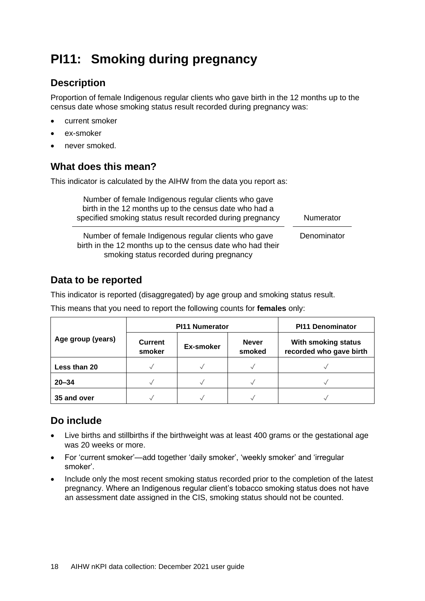## <span id="page-21-0"></span>**PI11: Smoking during pregnancy**

### **Description**

Proportion of female Indigenous regular clients who gave birth in the 12 months up to the census date whose smoking status result recorded during pregnancy was:

- current smoker
- ex-smoker
- never smoked.

### **What does this mean?**

This indicator is calculated by the AIHW from the data you report as:

| Number of female Indigenous regular clients who gave<br>birth in the 12 months up to the census date who had a<br>specified smoking status result recorded during pregnancy | Numerator   |
|-----------------------------------------------------------------------------------------------------------------------------------------------------------------------------|-------------|
| Number of female Indigenous regular clients who gave<br>birth in the 12 months up to the census date who had their<br>smoking status recorded during pregnancy              | Denominator |

### **Data to be reported**

This indicator is reported (disaggregated) by age group and smoking status result.

This means that you need to report the following counts for **females** only:

|                   | <b>PI11 Numerator</b>    |           |                        | <b>PI11 Denominator</b>                        |  |
|-------------------|--------------------------|-----------|------------------------|------------------------------------------------|--|
| Age group (years) | <b>Current</b><br>smoker | Ex-smoker | <b>Never</b><br>smoked | With smoking status<br>recorded who gave birth |  |
| Less than 20      |                          |           |                        |                                                |  |
| $20 - 34$         |                          |           |                        |                                                |  |
| 35 and over       |                          |           |                        |                                                |  |

### **Do include**

- Live births and stillbirths if the birthweight was at least 400 grams or the gestational age was 20 weeks or more.
- For 'current smoker'—add together 'daily smoker', 'weekly smoker' and 'irregular smoker'.
- Include only the most recent smoking status recorded prior to the completion of the latest pregnancy. Where an Indigenous regular client's tobacco smoking status does not have an assessment date assigned in the CIS, smoking status should not be counted.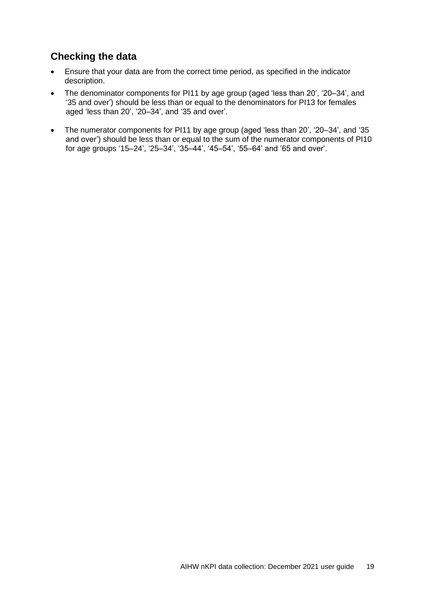- Ensure that your data are from the correct time period, as specified in the indicator description.
- The denominator components for PI11 by age group (aged 'less than 20', '20–34', and '35 and over') should be less than or equal to the denominators for PI13 for females aged 'less than 20', '20–34', and '35 and over'.
- The numerator components for PI11 by age group (aged 'less than 20', '20–34', and '35 and over') should be less than or equal to the sum of the numerator components of PI10 for age groups '15–24', '25–34', '35–44', '45–54', '55–64' and '65 and over'.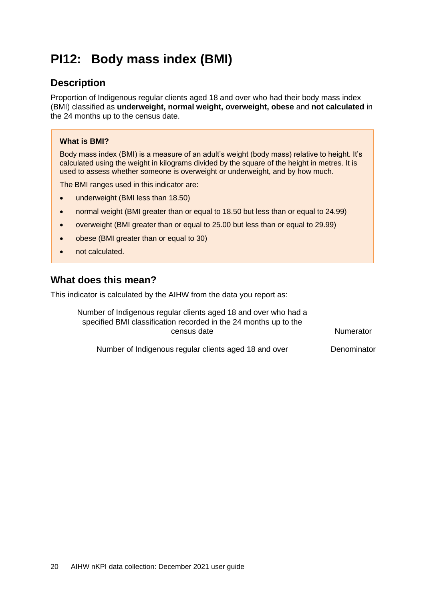## <span id="page-23-0"></span>**PI12: Body mass index (BMI)**

### **Description**

Proportion of Indigenous regular clients aged 18 and over who had their body mass index (BMI) classified as **underweight, normal weight, overweight, obese** and **not calculated** in the 24 months up to the census date.

#### **What is BMI?**

Body mass index (BMI) is a measure of an adult's weight (body mass) relative to height. It's calculated using the weight in kilograms divided by the square of the height in metres. It is used to assess whether someone is overweight or underweight, and by how much.

The BMI ranges used in this indicator are:

- underweight (BMI less than 18.50)
- normal weight (BMI greater than or equal to 18.50 but less than or equal to 24.99)
- overweight (BMI greater than or equal to 25.00 but less than or equal to 29.99)
- obese (BMI greater than or equal to 30)
- not calculated.

#### **What does this mean?**

This indicator is calculated by the AIHW from the data you report as:

Number of Indigenous regular clients aged 18 and over who had a specified BMI classification recorded in the 24 months up to the census date Numerator

Number of Indigenous regular clients aged 18 and over Denominator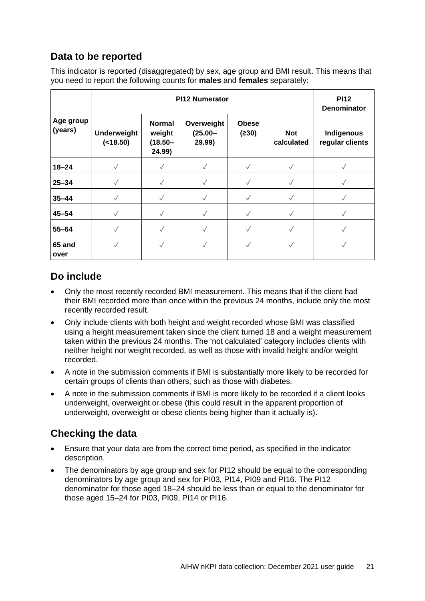### **Data to be reported**

This indicator is reported (disaggregated) by sex, age group and BMI result. This means that you need to report the following counts for **males** and **females** separately:

|                      | PI12 Numerator                   |                                                 |                                    |                       | <b>PI12</b><br><b>Denominator</b> |                               |
|----------------------|----------------------------------|-------------------------------------------------|------------------------------------|-----------------------|-----------------------------------|-------------------------------|
| Age group<br>(years) | <b>Underweight</b><br>( < 18.50) | <b>Normal</b><br>weight<br>$(18.50 -$<br>24.99) | Overweight<br>$(25.00 -$<br>29.99) | <b>Obese</b><br>(≥30) | <b>Not</b><br>calculated          | Indigenous<br>regular clients |
| $18 - 24$            | $\checkmark$                     | $\sqrt{}$                                       |                                    | $\sqrt{}$             |                                   |                               |
| $25 - 34$            | $\checkmark$                     |                                                 |                                    |                       |                                   |                               |
| $35 - 44$            | $\sqrt{}$                        | $\checkmark$                                    |                                    |                       |                                   |                               |
| $45 - 54$            | $\checkmark$                     |                                                 |                                    |                       |                                   |                               |
| $55 - 64$            | $\checkmark$                     |                                                 |                                    |                       |                                   |                               |
| 65 and<br>over       | $\checkmark$                     |                                                 |                                    |                       |                                   |                               |

### **Do include**

- Only the most recently recorded BMI measurement. This means that if the client had their BMI recorded more than once within the previous 24 months, include only the most recently recorded result.
- Only include clients with both height and weight recorded whose BMI was classified using a height measurement taken since the client turned 18 and a weight measurement taken within the previous 24 months. The 'not calculated' category includes clients with neither height nor weight recorded, as well as those with invalid height and/or weight recorded.
- A note in the submission comments if BMI is substantially more likely to be recorded for certain groups of clients than others, such as those with diabetes.
- A note in the submission comments if BMI is more likely to be recorded if a client looks underweight, overweight or obese (this could result in the apparent proportion of underweight, overweight or obese clients being higher than it actually is).

- Ensure that your data are from the correct time period, as specified in the indicator description.
- The denominators by age group and sex for PI12 should be equal to the corresponding denominators by age group and sex for PI03, PI14, PI09 and PI16. The PI12 denominator for those aged 18–24 should be less than or equal to the denominator for those aged 15–24 for PI03, PI09, PI14 or PI16.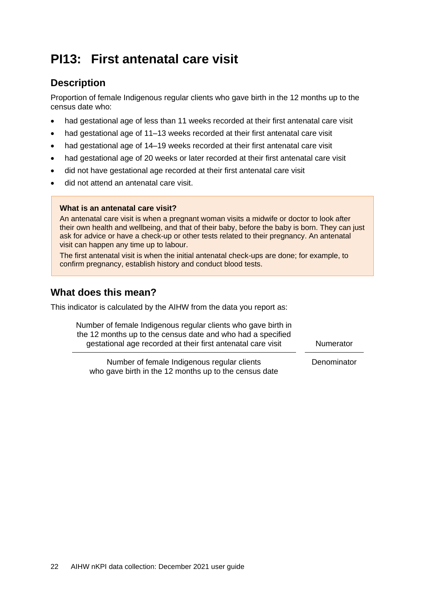## <span id="page-25-0"></span>**PI13: First antenatal care visit**

### **Description**

Proportion of female Indigenous regular clients who gave birth in the 12 months up to the census date who:

- had gestational age of less than 11 weeks recorded at their first antenatal care visit
- had gestational age of 11–13 weeks recorded at their first antenatal care visit
- had gestational age of 14–19 weeks recorded at their first antenatal care visit
- had gestational age of 20 weeks or later recorded at their first antenatal care visit
- did not have gestational age recorded at their first antenatal care visit
- did not attend an antenatal care visit.

#### **What is an antenatal care visit?**

An antenatal care visit is when a pregnant woman visits a midwife or doctor to look after their own health and wellbeing, and that of their baby, before the baby is born. They can just ask for advice or have a check-up or other tests related to their pregnancy. An antenatal visit can happen any time up to labour.

The first antenatal visit is when the initial antenatal check-ups are done; for example, to confirm pregnancy, establish history and conduct blood tests.

#### **What does this mean?**

This indicator is calculated by the AIHW from the data you report as:

| Number of female Indigenous regular clients who gave birth in<br>the 12 months up to the census date and who had a specified<br>gestational age recorded at their first antenatal care visit | Numerator   |
|----------------------------------------------------------------------------------------------------------------------------------------------------------------------------------------------|-------------|
| Number of female Indigenous regular clients<br>who gave birth in the 12 months up to the census date                                                                                         | Denominator |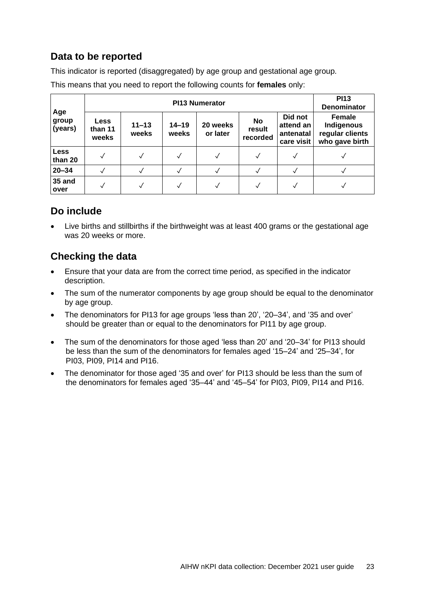### **Data to be reported**

This indicator is reported (disaggregated) by age group and gestational age group.

|                         | <b>PI13 Numerator</b>           |                    |                    |                      |                                 | <b>PI13</b><br><b>Denominator</b>               |                                                                  |
|-------------------------|---------------------------------|--------------------|--------------------|----------------------|---------------------------------|-------------------------------------------------|------------------------------------------------------------------|
| Age<br>group<br>(years) | <b>Less</b><br>than 11<br>weeks | $11 - 13$<br>weeks | $14 - 19$<br>weeks | 20 weeks<br>or later | <b>No</b><br>result<br>recorded | Did not<br>attend an<br>antenatal<br>care visit | <b>Female</b><br>Indigenous<br>regular clients<br>who gave birth |
| <b>Less</b><br>than 20  |                                 |                    |                    | √                    |                                 |                                                 |                                                                  |
| $20 - 34$               |                                 |                    |                    | ✓                    |                                 |                                                 |                                                                  |
| 35 and<br>over          |                                 |                    |                    |                      |                                 |                                                 |                                                                  |

This means that you need to report the following counts for **females** only:

### **Do include**

• Live births and stillbirths if the birthweight was at least 400 grams or the gestational age was 20 weeks or more.

- Ensure that your data are from the correct time period, as specified in the indicator description.
- The sum of the numerator components by age group should be equal to the denominator by age group.
- The denominators for PI13 for age groups 'less than 20', '20–34', and '35 and over' should be greater than or equal to the denominators for PI11 by age group.
- The sum of the denominators for those aged 'less than 20' and '20–34' for PI13 should be less than the sum of the denominators for females aged '15–24' and '25–34', for PI03, PI09, PI14 and PI16.
- The denominator for those aged '35 and over' for PI13 should be less than the sum of the denominators for females aged '35–44' and '45–54' for PI03, PI09, PI14 and PI16.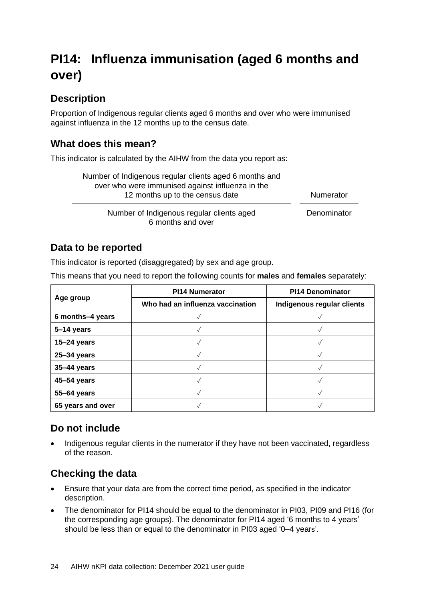## <span id="page-27-0"></span>**PI14: Influenza immunisation (aged 6 months and over)**

### **Description**

Proportion of Indigenous regular clients aged 6 months and over who were immunised against influenza in the 12 months up to the census date.

### **What does this mean?**

This indicator is calculated by the AIHW from the data you report as:

| Number of Indigenous regular clients aged 6 months and<br>over who were immunised against influenza in the<br>12 months up to the census date | Numerator   |
|-----------------------------------------------------------------------------------------------------------------------------------------------|-------------|
| Number of Indigenous regular clients aged<br>6 months and over                                                                                | Denominator |

### **Data to be reported**

This indicator is reported (disaggregated) by sex and age group.

This means that you need to report the following counts for **males** and **females** separately:

|                   | <b>PI14 Numerator</b>            | <b>PI14 Denominator</b>    |  |
|-------------------|----------------------------------|----------------------------|--|
| Age group         | Who had an influenza vaccination | Indigenous regular clients |  |
| 6 months-4 years  |                                  |                            |  |
| 5-14 years        |                                  |                            |  |
| $15 - 24$ years   |                                  |                            |  |
| 25-34 years       |                                  |                            |  |
| 35-44 years       |                                  |                            |  |
| 45-54 years       |                                  |                            |  |
| 55-64 years       |                                  |                            |  |
| 65 years and over |                                  |                            |  |

### **Do not include**

• Indigenous regular clients in the numerator if they have not been vaccinated, regardless of the reason.

- Ensure that your data are from the correct time period, as specified in the indicator description.
- The denominator for PI14 should be equal to the denominator in PI03, PI09 and PI16 (for the corresponding age groups). The denominator for PI14 aged '6 months to 4 years' should be less than or equal to the denominator in PI03 aged '0–4 years'.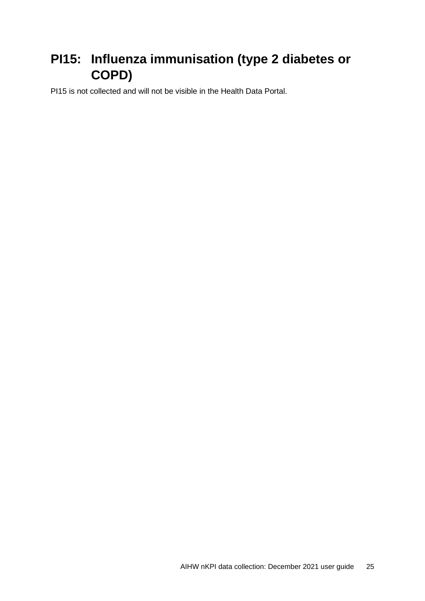## <span id="page-28-0"></span>**PI15: Influenza immunisation (type 2 diabetes or COPD)**

PI15 is not collected and will not be visible in the Health Data Portal.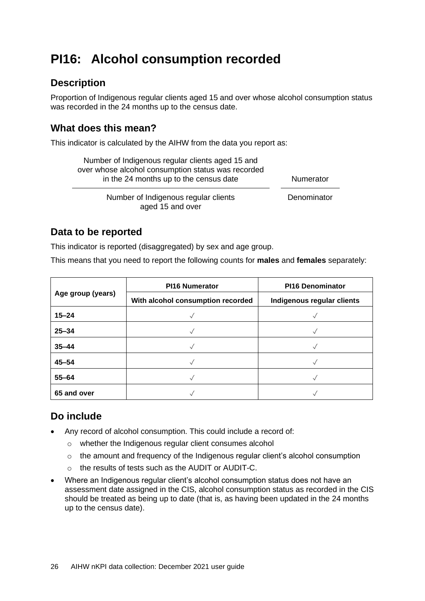## <span id="page-29-0"></span>**PI16: Alcohol consumption recorded**

### **Description**

Proportion of Indigenous regular clients aged 15 and over whose alcohol consumption status was recorded in the 24 months up to the census date.

### **What does this mean?**

This indicator is calculated by the AIHW from the data you report as:

| Number of Indigenous regular clients aged 15 and   |                  |
|----------------------------------------------------|------------------|
| over whose alcohol consumption status was recorded |                  |
| in the 24 months up to the census date             | <b>Numerator</b> |
| Number of Indigenous regular clients               | Denominator      |

Number of Indigenous regular clients aged 15 and over

### **Data to be reported**

This indicator is reported (disaggregated) by sex and age group.

This means that you need to report the following counts for **males** and **females** separately:

|                   | <b>PI16 Numerator</b>             | <b>PI16 Denominator</b>    |  |
|-------------------|-----------------------------------|----------------------------|--|
| Age group (years) | With alcohol consumption recorded | Indigenous regular clients |  |
| $15 - 24$         |                                   |                            |  |
| $25 - 34$         |                                   |                            |  |
| $35 - 44$         |                                   |                            |  |
| $45 - 54$         |                                   |                            |  |
| $55 - 64$         |                                   |                            |  |
| 65 and over       |                                   |                            |  |

### **Do include**

- Any record of alcohol consumption. This could include a record of:
	- o whether the Indigenous regular client consumes alcohol
	- o the amount and frequency of the Indigenous regular client's alcohol consumption
	- o the results of tests such as the AUDIT or AUDIT-C.
- Where an Indigenous regular client's alcohol consumption status does not have an assessment date assigned in the CIS, alcohol consumption status as recorded in the CIS should be treated as being up to date (that is, as having been updated in the 24 months up to the census date).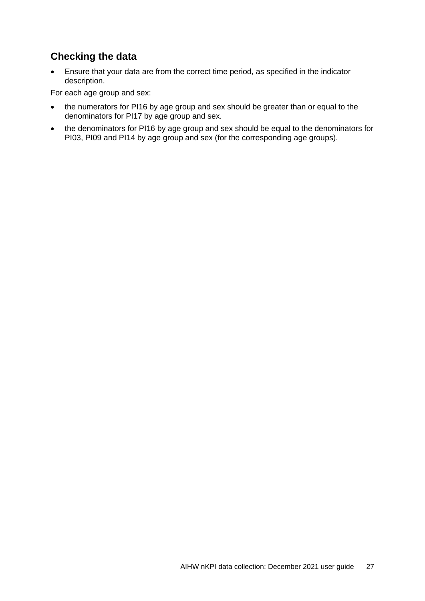### **Checking the data**

• Ensure that your data are from the correct time period, as specified in the indicator description.

For each age group and sex:

- the numerators for PI16 by age group and sex should be greater than or equal to the denominators for PI17 by age group and sex.
- the denominators for PI16 by age group and sex should be equal to the denominators for PI03, PI09 and PI14 by age group and sex (for the corresponding age groups).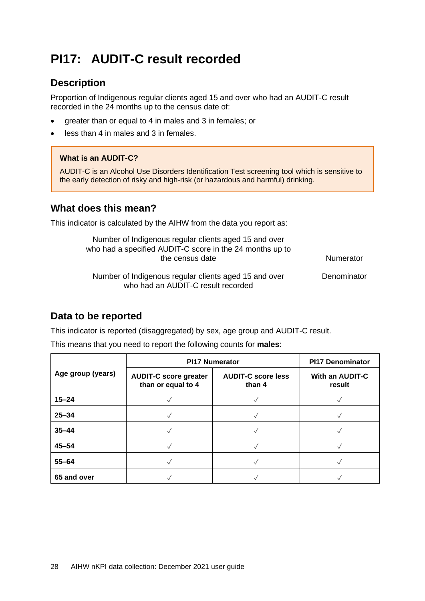## <span id="page-31-0"></span>**PI17: AUDIT-C result recorded**

### **Description**

Proportion of Indigenous regular clients aged 15 and over who had an AUDIT-C result recorded in the 24 months up to the census date of:

- greater than or equal to 4 in males and 3 in females; or
- less than 4 in males and 3 in females.

#### **What is an AUDIT-C?**

AUDIT-C is an Alcohol Use Disorders Identification Test screening tool which is sensitive to the early detection of risky and high-risk (or hazardous and harmful) drinking.

### **What does this mean?**

This indicator is calculated by the AIHW from the data you report as:

| Number of Indigenous regular clients aged 15 and over<br>who had a specified AUDIT-C score in the 24 months up to<br>the census date | Numerator   |
|--------------------------------------------------------------------------------------------------------------------------------------|-------------|
| Number of Indigenous regular clients aged 15 and over<br>who had an AUDIT-C result recorded                                          | Denominator |

### **Data to be reported**

This indicator is reported (disaggregated) by sex, age group and AUDIT-C result.

This means that you need to report the following counts for **males**:

|                   | <b>PI17 Numerator</b>                              | <b>PI17 Denominator</b>             |                                  |
|-------------------|----------------------------------------------------|-------------------------------------|----------------------------------|
| Age group (years) | <b>AUDIT-C score greater</b><br>than or equal to 4 | <b>AUDIT-C score less</b><br>than 4 | <b>With an AUDIT-C</b><br>result |
| $15 - 24$         |                                                    |                                     |                                  |
| $25 - 34$         |                                                    |                                     |                                  |
| $35 - 44$         |                                                    |                                     |                                  |
| $45 - 54$         |                                                    |                                     |                                  |
| $55 - 64$         |                                                    |                                     |                                  |
| 65 and over       |                                                    |                                     |                                  |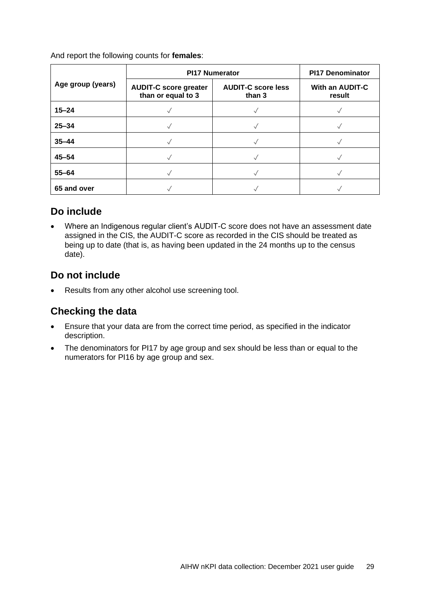And report the following counts for **females**:

|                   | <b>PI17 Numerator</b>                              | <b>PI17 Denominator</b>             |                           |
|-------------------|----------------------------------------------------|-------------------------------------|---------------------------|
| Age group (years) | <b>AUDIT-C score greater</b><br>than or equal to 3 | <b>AUDIT-C score less</b><br>than 3 | With an AUDIT-C<br>result |
| $15 - 24$         |                                                    |                                     |                           |
| $25 - 34$         |                                                    |                                     |                           |
| $35 - 44$         |                                                    |                                     |                           |
| $45 - 54$         |                                                    |                                     |                           |
| $55 - 64$         |                                                    |                                     |                           |
| 65 and over       |                                                    |                                     |                           |

### **Do include**

• Where an Indigenous regular client's AUDIT-C score does not have an assessment date assigned in the CIS, the AUDIT-C score as recorded in the CIS should be treated as being up to date (that is, as having been updated in the 24 months up to the census date).

### **Do not include**

Results from any other alcohol use screening tool.

- Ensure that your data are from the correct time period, as specified in the indicator description.
- The denominators for PI17 by age group and sex should be less than or equal to the numerators for PI16 by age group and sex.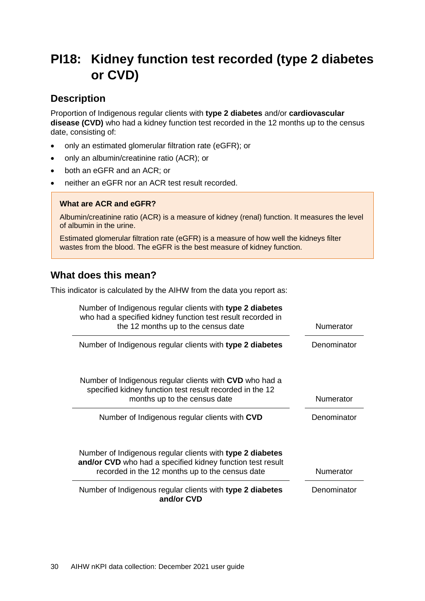## <span id="page-33-0"></span>**PI18: Kidney function test recorded (type 2 diabetes or CVD)**

### **Description**

Proportion of Indigenous regular clients with **type 2 diabetes** and/or **cardiovascular disease (CVD)** who had a kidney function test recorded in the 12 months up to the census date, consisting of:

- only an estimated glomerular filtration rate (eGFR); or
- only an albumin/creatinine ratio (ACR); or
- both an eGFR and an ACR; or
- neither an eGFR nor an ACR test result recorded.

#### **What are ACR and eGFR?**

Albumin/creatinine ratio (ACR) is a measure of kidney (renal) function. It measures the level of albumin in the urine.

Estimated glomerular filtration rate (eGFR) is a measure of how well the kidneys filter wastes from the blood. The eGFR is the best measure of kidney function.

### **What does this mean?**

This indicator is calculated by the AIHW from the data you report as:

| Number of Indigenous regular clients with type 2 diabetes<br>who had a specified kidney function test result recorded in |                  |
|--------------------------------------------------------------------------------------------------------------------------|------------------|
| the 12 months up to the census date                                                                                      | Numerator        |
| Number of Indigenous regular clients with type 2 diabetes                                                                | Denominator      |
|                                                                                                                          |                  |
| Number of Indigenous regular clients with CVD who had a<br>specified kidney function test result recorded in the 12      |                  |
| months up to the census date                                                                                             | Numerator        |
| Number of Indigenous regular clients with CVD                                                                            | Denominator      |
|                                                                                                                          |                  |
| Number of Indigenous regular clients with type 2 diabetes                                                                |                  |
| and/or CVD who had a specified kidney function test result<br>recorded in the 12 months up to the census date            | <b>Numerator</b> |
| Number of Indigenous regular clients with type 2 diabetes<br>and/or CVD                                                  | Denominator      |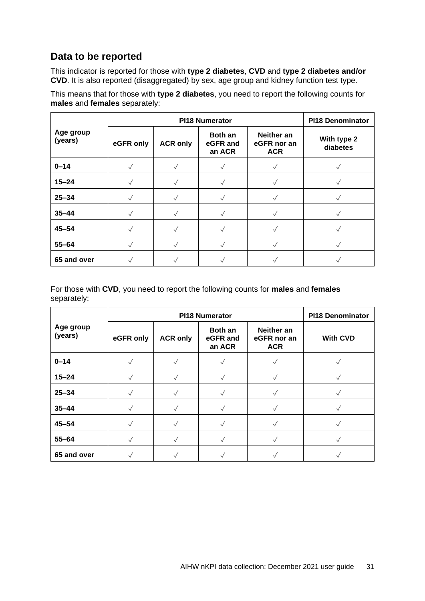### **Data to be reported**

This indicator is reported for those with **type 2 diabetes**, **CVD** and **type 2 diabetes and/or CVD**. It is also reported (disaggregated) by sex, age group and kidney function test type.

This means that for those with **type 2 diabetes**, you need to report the following counts for **males** and **females** separately:

|                      |              |                 | <b>PI18 Numerator</b>                |                                         | <b>PI18 Denominator</b> |
|----------------------|--------------|-----------------|--------------------------------------|-----------------------------------------|-------------------------|
| Age group<br>(years) | eGFR only    | <b>ACR only</b> | <b>Both an</b><br>eGFR and<br>an ACR | Neither an<br>eGFR nor an<br><b>ACR</b> | With type 2<br>diabetes |
| $0 - 14$             | $\checkmark$ | $\sqrt{}$       |                                      |                                         | $\sqrt{}$               |
| $15 - 24$            |              |                 |                                      |                                         |                         |
| $25 - 34$            |              |                 |                                      |                                         |                         |
| $35 - 44$            |              |                 |                                      |                                         |                         |
| $45 - 54$            | $\checkmark$ |                 |                                      |                                         |                         |
| $55 - 64$            |              |                 |                                      |                                         |                         |
| 65 and over          |              |                 |                                      |                                         |                         |

For those with **CVD**, you need to report the following counts for **males** and **females** separately:

|                      |              |                 | <b>PI18 Numerator</b>                |                                         | <b>PI18 Denominator</b> |
|----------------------|--------------|-----------------|--------------------------------------|-----------------------------------------|-------------------------|
| Age group<br>(years) | eGFR only    | <b>ACR only</b> | <b>Both an</b><br>eGFR and<br>an ACR | Neither an<br>eGFR nor an<br><b>ACR</b> | <b>With CVD</b>         |
| $0 - 14$             | $\checkmark$ | $\sqrt{}$       |                                      |                                         |                         |
| $15 - 24$            | $\checkmark$ |                 | $\sqrt{}$                            |                                         |                         |
| $25 - 34$            |              |                 |                                      |                                         |                         |
| $35 - 44$            |              |                 |                                      |                                         |                         |
| $45 - 54$            |              |                 |                                      |                                         |                         |
| $55 - 64$            | $\checkmark$ | $\checkmark$    |                                      |                                         | $\sqrt{}$               |
| 65 and over          |              |                 |                                      |                                         |                         |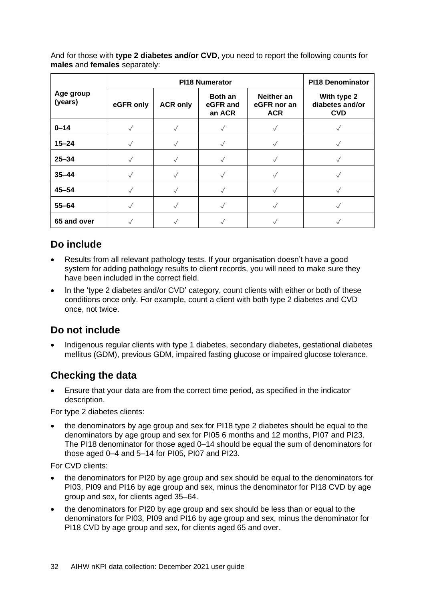And for those with **type 2 diabetes and/or CVD**, you need to report the following counts for **males** and **females** separately:

|                      |           |                 | <b>PI18 Numerator</b>                |                                         | <b>PI18 Denominator</b>                      |  |
|----------------------|-----------|-----------------|--------------------------------------|-----------------------------------------|----------------------------------------------|--|
| Age group<br>(years) | eGFR only | <b>ACR only</b> | <b>Both an</b><br>eGFR and<br>an ACR | Neither an<br>eGFR nor an<br><b>ACR</b> | With type 2<br>diabetes and/or<br><b>CVD</b> |  |
| $0 - 14$             | $\sqrt{}$ | $\sqrt{}$       |                                      |                                         | $\sqrt{}$                                    |  |
| $15 - 24$            |           |                 |                                      |                                         |                                              |  |
| $25 - 34$            |           |                 |                                      |                                         |                                              |  |
| $35 - 44$            |           |                 |                                      |                                         |                                              |  |
| $45 - 54$            |           |                 |                                      |                                         |                                              |  |
| $55 - 64$            |           | $\sqrt{}$       |                                      |                                         |                                              |  |
| 65 and over          |           |                 |                                      |                                         |                                              |  |

### **Do include**

- Results from all relevant pathology tests. If your organisation doesn't have a good system for adding pathology results to client records, you will need to make sure they have been included in the correct field.
- In the 'type 2 diabetes and/or CVD' category, count clients with either or both of these conditions once only. For example, count a client with both type 2 diabetes and CVD once, not twice.

### **Do not include**

• Indigenous regular clients with type 1 diabetes, secondary diabetes, gestational diabetes mellitus (GDM), previous GDM, impaired fasting glucose or impaired glucose tolerance.

### **Checking the data**

• Ensure that your data are from the correct time period, as specified in the indicator description.

For type 2 diabetes clients:

• the denominators by age group and sex for PI18 type 2 diabetes should be equal to the denominators by age group and sex for PI05 6 months and 12 months, PI07 and PI23. The PI18 denominator for those aged 0–14 should be equal the sum of denominators for those aged 0–4 and 5–14 for PI05, PI07 and PI23.

For CVD clients:

- the denominators for PI20 by age group and sex should be equal to the denominators for PI03, PI09 and PI16 by age group and sex, minus the denominator for PI18 CVD by age group and sex, for clients aged 35–64.
- the denominators for PI20 by age group and sex should be less than or equal to the denominators for PI03, PI09 and PI16 by age group and sex, minus the denominator for PI18 CVD by age group and sex, for clients aged 65 and over.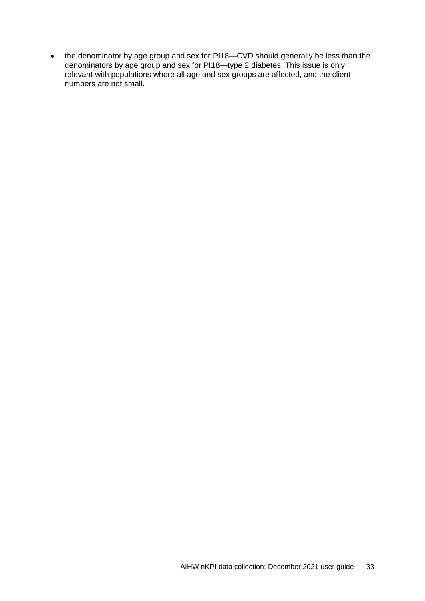• the denominator by age group and sex for PI18—CVD should generally be less than the denominators by age group and sex for PI18—type 2 diabetes. This issue is only relevant with populations where all age and sex groups are affected, and the client numbers are not small.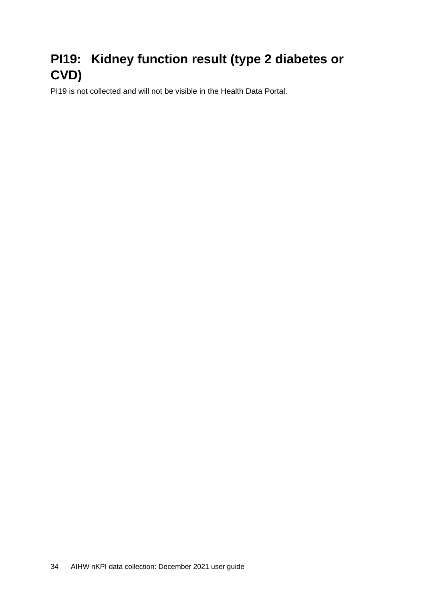## <span id="page-37-0"></span>**PI19: Kidney function result (type 2 diabetes or CVD)**

PI19 is not collected and will not be visible in the Health Data Portal.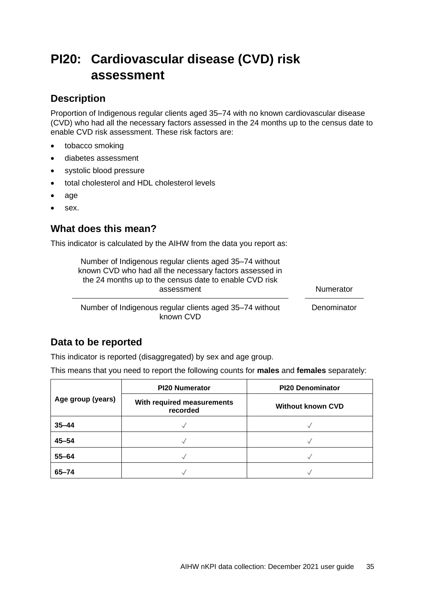## <span id="page-38-0"></span>**PI20: Cardiovascular disease (CVD) risk assessment**

### **Description**

Proportion of Indigenous regular clients aged 35–74 with no known cardiovascular disease (CVD) who had all the necessary factors assessed in the 24 months up to the census date to enable CVD risk assessment. These risk factors are:

- tobacco smoking
- diabetes assessment
- systolic blood pressure
- total cholesterol and HDL cholesterol levels
- age
- sex.

### **What does this mean?**

This indicator is calculated by the AIHW from the data you report as:

| Number of Indigenous regular clients aged 35-74 without<br>known CVD who had all the necessary factors assessed in<br>the 24 months up to the census date to enable CVD risk |                  |
|------------------------------------------------------------------------------------------------------------------------------------------------------------------------------|------------------|
| assessment                                                                                                                                                                   | <b>Numerator</b> |
| Number of Indigenous regular clients aged 35–74 without<br>known CVD                                                                                                         | Denominator      |

### **Data to be reported**

This indicator is reported (disaggregated) by sex and age group.

This means that you need to report the following counts for **males** and **females** separately:

|                   | <b>PI20 Numerator</b>                  | <b>PI20 Denominator</b>  |
|-------------------|----------------------------------------|--------------------------|
| Age group (years) | With required measurements<br>recorded | <b>Without known CVD</b> |
| $35 - 44$         |                                        |                          |
| $45 - 54$         |                                        |                          |
| $55 - 64$         |                                        |                          |
| $65 - 74$         |                                        |                          |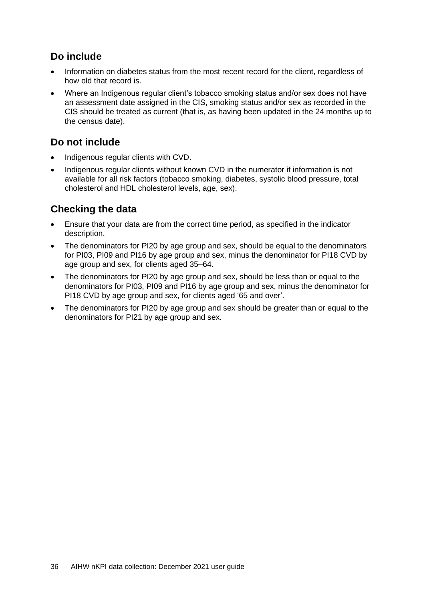### **Do include**

- Information on diabetes status from the most recent record for the client, regardless of how old that record is.
- Where an Indigenous regular client's tobacco smoking status and/or sex does not have an assessment date assigned in the CIS, smoking status and/or sex as recorded in the CIS should be treated as current (that is, as having been updated in the 24 months up to the census date).

### **Do not include**

- Indigenous regular clients with CVD.
- Indigenous regular clients without known CVD in the numerator if information is not available for all risk factors (tobacco smoking, diabetes, systolic blood pressure, total cholesterol and HDL cholesterol levels, age, sex).

- Ensure that your data are from the correct time period, as specified in the indicator description.
- The denominators for PI20 by age group and sex, should be equal to the denominators for PI03, PI09 and PI16 by age group and sex, minus the denominator for PI18 CVD by age group and sex, for clients aged 35–64.
- The denominators for PI20 by age group and sex, should be less than or equal to the denominators for PI03, PI09 and PI16 by age group and sex, minus the denominator for PI18 CVD by age group and sex, for clients aged '65 and over'.
- The denominators for PI20 by age group and sex should be greater than or equal to the denominators for PI21 by age group and sex.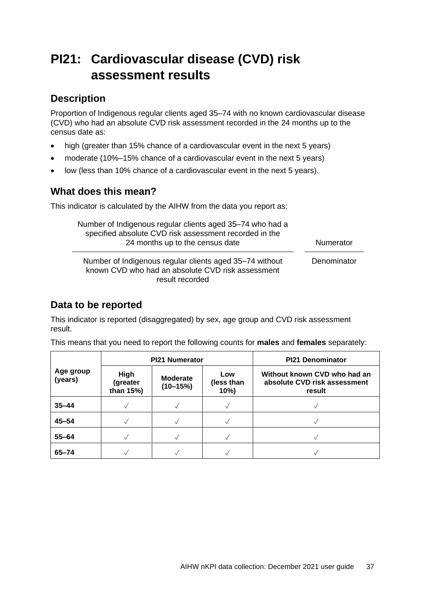## <span id="page-40-0"></span>**PI21: Cardiovascular disease (CVD) risk assessment results**

### **Description**

Proportion of Indigenous regular clients aged 35–74 with no known cardiovascular disease (CVD) who had an absolute CVD risk assessment recorded in the 24 months up to the census date as:

- high (greater than 15% chance of a cardiovascular event in the next 5 years)
- moderate (10%–15% chance of a cardiovascular event in the next 5 years)
- low (less than 10% chance of a cardiovascular event in the next 5 years).

### **What does this mean?**

This indicator is calculated by the AIHW from the data you report as:

| Number of Indigenous regular clients aged 35-74 who had a<br>specified absolute CVD risk assessment recorded in the<br>24 months up to the census date | <b>Numerator</b> |
|--------------------------------------------------------------------------------------------------------------------------------------------------------|------------------|
| Number of Indigenous regular clients aged 35-74 without<br>known CVD who had an absolute CVD risk assessment<br>result recorded                        | Denominator      |

### **Data to be reported**

This indicator is reported (disaggregated) by sex, age group and CVD risk assessment result.

|                      | <b>PI21 Numerator</b>                |                               |                          | <b>PI21 Denominator</b>                                                |  |
|----------------------|--------------------------------------|-------------------------------|--------------------------|------------------------------------------------------------------------|--|
| Age group<br>(years) | <b>High</b><br>(greater<br>than 15%) | <b>Moderate</b><br>$(10-15%)$ | Low<br>(less than<br>10% | Without known CVD who had an<br>absolute CVD risk assessment<br>result |  |
| $35 - 44$            |                                      |                               |                          |                                                                        |  |
| $45 - 54$            |                                      |                               |                          |                                                                        |  |
| $55 - 64$            |                                      |                               |                          |                                                                        |  |
| $65 - 74$            |                                      |                               |                          |                                                                        |  |

This means that you need to report the following counts for **males** and **females** separately: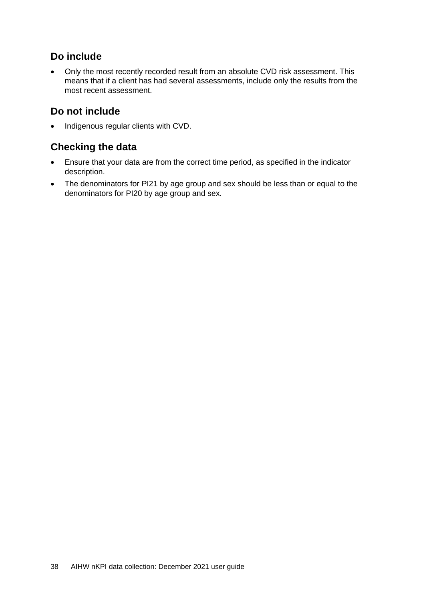### **Do include**

• Only the most recently recorded result from an absolute CVD risk assessment. This means that if a client has had several assessments, include only the results from the most recent assessment.

### **Do not include**

• Indigenous regular clients with CVD.

- Ensure that your data are from the correct time period, as specified in the indicator description.
- The denominators for PI21 by age group and sex should be less than or equal to the denominators for PI20 by age group and sex.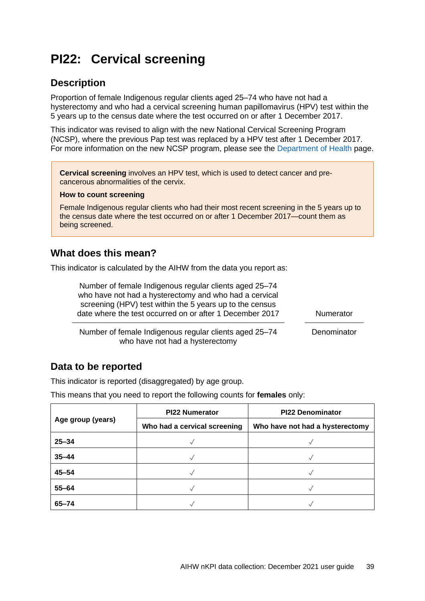## <span id="page-42-0"></span>**PI22: Cervical screening**

### **Description**

Proportion of female Indigenous regular clients aged 25–74 who have not had a hysterectomy and who had a cervical screening human papillomavirus (HPV) test within the 5 years up to the census date where the test occurred on or after 1 December 2017.

This indicator was revised to align with the new National Cervical Screening Program (NCSP), where the previous Pap test was replaced by a HPV test after 1 December 2017. For more information on the new NCSP program, please see the [Department of Health](https://www.health.gov.au/initiatives-and-programs/national-cervical-screening-program) page.

**Cervical screening** involves an HPV test, which is used to detect cancer and precancerous abnormalities of the cervix.

#### **How to count screening**

Female Indigenous regular clients who had their most recent screening in the 5 years up to the census date where the test occurred on or after 1 December 2017—count them as being screened.

#### **What does this mean?**

This indicator is calculated by the AIHW from the data you report as:

| Number of female Indigenous regular clients aged 25–74<br>who have not had a hysterectomy and who had a cervical<br>screening (HPV) test within the 5 years up to the census<br>date where the test occurred on or after 1 December 2017 | Numerator   |
|------------------------------------------------------------------------------------------------------------------------------------------------------------------------------------------------------------------------------------------|-------------|
| Number of female Indigenous regular clients aged 25-74<br>who have not had a hysterectomy                                                                                                                                                | Denominator |

### **Data to be reported**

This indicator is reported (disaggregated) by age group.

This means that you need to report the following counts for **females** only:

|                   | <b>PI22 Numerator</b>        | <b>PI22 Denominator</b>         |
|-------------------|------------------------------|---------------------------------|
| Age group (years) | Who had a cervical screening | Who have not had a hysterectomy |
| $25 - 34$         |                              |                                 |
| $35 - 44$         |                              |                                 |
| $45 - 54$         |                              |                                 |
| $55 - 64$         |                              |                                 |
| $65 - 74$         |                              |                                 |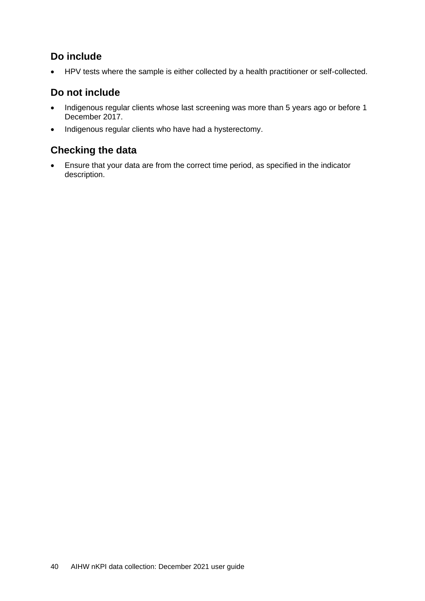### **Do include**

• HPV tests where the sample is either collected by a health practitioner or self-collected.

### **Do not include**

- Indigenous regular clients whose last screening was more than 5 years ago or before 1 December 2017.
- Indigenous regular clients who have had a hysterectomy.

### **Checking the data**

• Ensure that your data are from the correct time period, as specified in the indicator description.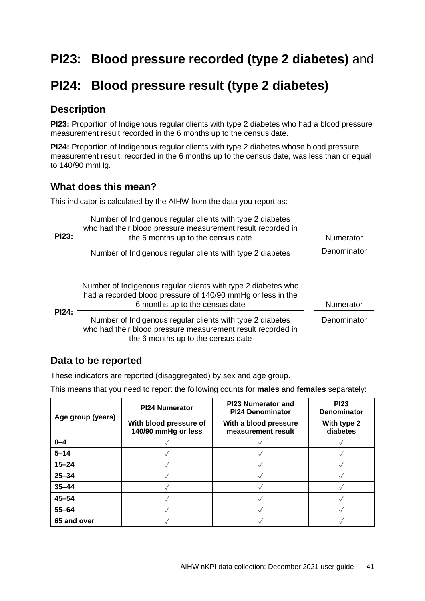## <span id="page-44-0"></span>**PI23: Blood pressure recorded (type 2 diabetes)** and

### <span id="page-44-1"></span>**PI24: Blood pressure result (type 2 diabetes)**

### **Description**

**PI23:** Proportion of Indigenous regular clients with type 2 diabetes who had a blood pressure measurement result recorded in the 6 months up to the census date.

**PI24:** Proportion of Indigenous regular clients with type 2 diabetes whose blood pressure measurement result, recorded in the 6 months up to the census date, was less than or equal to 140/90 mmHg.

### **What does this mean?**

This indicator is calculated by the AIHW from the data you report as:

| <b>PI23:</b> | Number of Indigenous regular clients with type 2 diabetes<br>who had their blood pressure measurement result recorded in<br>the 6 months up to the census date | Numerator   |
|--------------|----------------------------------------------------------------------------------------------------------------------------------------------------------------|-------------|
|              | Number of Indigenous regular clients with type 2 diabetes                                                                                                      | Denominator |
|              | Number of Indigenous regular clients with type 2 diabetes who<br>had a recorded blood pressure of 140/90 mmHg or less in the<br>6 months up to the census date | Numerator   |
| <b>PI24:</b> | Number of Indigenous regular clients with type 2 diabetes<br>who had their blood pressure measurement result recorded in<br>the 6 months up to the census date | Denominator |

### **Data to be reported**

These indicators are reported (disaggregated) by sex and age group.

This means that you need to report the following counts for **males** and **females** separately:

| Age group (years) | <b>PI24 Numerator</b>                         | <b>PI23 Numerator and</b><br><b>PI24 Denominator</b> | <b>PI23</b><br><b>Denominator</b> |
|-------------------|-----------------------------------------------|------------------------------------------------------|-----------------------------------|
|                   | With blood pressure of<br>140/90 mmHg or less | With a blood pressure<br>measurement result          | With type 2<br>diabetes           |
| $0 - 4$           |                                               |                                                      |                                   |
| $5 - 14$          |                                               |                                                      |                                   |
| $15 - 24$         |                                               |                                                      |                                   |
| $25 - 34$         |                                               |                                                      |                                   |
| $35 - 44$         |                                               |                                                      |                                   |
| $45 - 54$         |                                               |                                                      |                                   |
| $55 - 64$         |                                               |                                                      |                                   |
| 65 and over       |                                               |                                                      |                                   |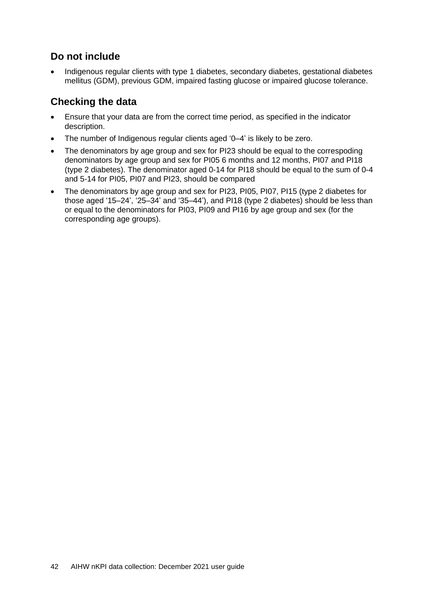### **Do not include**

• Indigenous regular clients with type 1 diabetes, secondary diabetes, gestational diabetes mellitus (GDM), previous GDM, impaired fasting glucose or impaired glucose tolerance.

- Ensure that your data are from the correct time period, as specified in the indicator description.
- The number of Indigenous regular clients aged '0–4' is likely to be zero.
- The denominators by age group and sex for PI23 should be equal to the correspoding denominators by age group and sex for PI05 6 months and 12 months, PI07 and PI18 (type 2 diabetes). The denominator aged 0-14 for PI18 should be equal to the sum of 0-4 and 5-14 for PI05, PI07 and PI23, should be compared
- The denominators by age group and sex for PI23, PI05, PI07, PI15 (type 2 diabetes for those aged '15–24', '25–34' and '35–44'), and PI18 (type 2 diabetes) should be less than or equal to the denominators for PI03, PI09 and PI16 by age group and sex (for the corresponding age groups).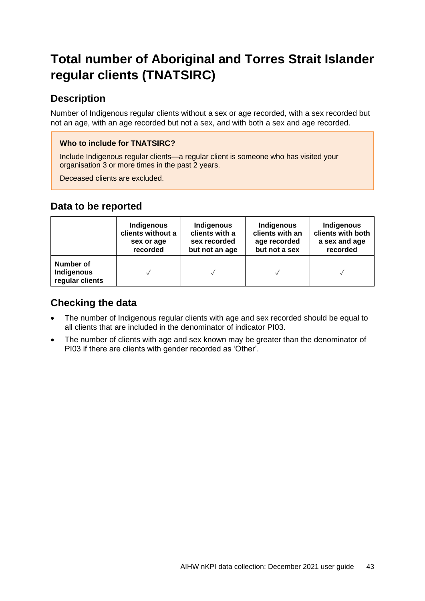## <span id="page-46-0"></span>**Total number of Aboriginal and Torres Strait Islander regular clients (TNATSIRC)**

### **Description**

Number of Indigenous regular clients without a sex or age recorded, with a sex recorded but not an age, with an age recorded but not a sex, and with both a sex and age recorded.

#### **Who to include for TNATSIRC?**

Include Indigenous regular clients—a regular client is someone who has visited your organisation 3 or more times in the past 2 years.

Deceased clients are excluded.

### **Data to be reported**

|                                            | Indigenous        | Indigenous     | Indigenous      | Indigenous        |
|--------------------------------------------|-------------------|----------------|-----------------|-------------------|
|                                            | clients without a | clients with a | clients with an | clients with both |
|                                            | sex or age        | sex recorded   | age recorded    | a sex and age     |
|                                            | recorded          | but not an age | but not a sex   | recorded          |
| Number of<br>Indigenous<br>regular clients |                   |                |                 |                   |

- The number of Indigenous regular clients with age and sex recorded should be equal to all clients that are included in the denominator of indicator PI03.
- The number of clients with age and sex known may be greater than the denominator of PI03 if there are clients with gender recorded as 'Other'.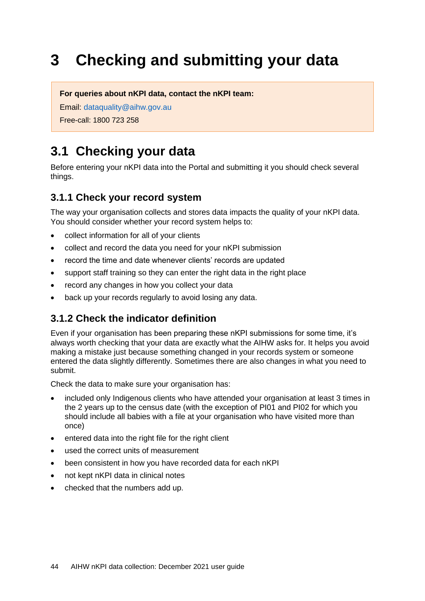# <span id="page-47-0"></span>**3 Checking and submitting your data**

**For queries about nKPI data, contact the nKPI team:**

Email: [dataquality@aihw.gov.au](mailto:dataquality@aihw.gov.au)

Free-call: 1800 723 258

## <span id="page-47-1"></span>**3.1 Checking your data**

Before entering your nKPI data into the Portal and submitting it you should check several things.

### **3.1.1 Check your record system**

The way your organisation collects and stores data impacts the quality of your nKPI data. You should consider whether your record system helps to:

- collect information for all of your clients
- collect and record the data you need for your nKPI submission
- record the time and date whenever clients' records are updated
- support staff training so they can enter the right data in the right place
- record any changes in how you collect your data
- back up your records regularly to avoid losing any data.

### **3.1.2 Check the indicator definition**

Even if your organisation has been preparing these nKPI submissions for some time, it's always worth checking that your data are exactly what the AIHW asks for. It helps you avoid making a mistake just because something changed in your records system or someone entered the data slightly differently. Sometimes there are also changes in what you need to submit.

Check the data to make sure your organisation has:

- included only Indigenous clients who have attended your organisation at least 3 times in the 2 years up to the census date (with the exception of PI01 and PI02 for which you should include all babies with a file at your organisation who have visited more than once)
- entered data into the right file for the right client
- used the correct units of measurement
- been consistent in how you have recorded data for each nKPI
- not kept nKPI data in clinical notes
- checked that the numbers add up.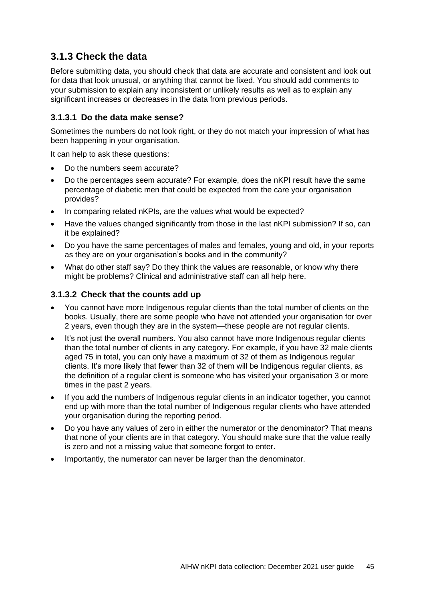### **3.1.3 Check the data**

Before submitting data, you should check that data are accurate and consistent and look out for data that look unusual, or anything that cannot be fixed. You should add comments to your submission to explain any inconsistent or unlikely results as well as to explain any significant increases or decreases in the data from previous periods.

#### **3.1.3.1 Do the data make sense?**

Sometimes the numbers do not look right, or they do not match your impression of what has been happening in your organisation.

It can help to ask these questions:

- Do the numbers seem accurate?
- Do the percentages seem accurate? For example, does the nKPI result have the same percentage of diabetic men that could be expected from the care your organisation provides?
- In comparing related nKPIs, are the values what would be expected?
- Have the values changed significantly from those in the last nKPI submission? If so, can it be explained?
- Do you have the same percentages of males and females, young and old, in your reports as they are on your organisation's books and in the community?
- What do other staff say? Do they think the values are reasonable, or know why there might be problems? Clinical and administrative staff can all help here.

#### **3.1.3.2 Check that the counts add up**

- You cannot have more Indigenous regular clients than the total number of clients on the books. Usually, there are some people who have not attended your organisation for over 2 years, even though they are in the system—these people are not regular clients.
- It's not just the overall numbers. You also cannot have more Indigenous regular clients than the total number of clients in any category. For example, if you have 32 male clients aged 75 in total, you can only have a maximum of 32 of them as Indigenous regular clients. It's more likely that fewer than 32 of them will be Indigenous regular clients, as the definition of a regular client is someone who has visited your organisation 3 or more times in the past 2 years.
- If you add the numbers of Indigenous regular clients in an indicator together, you cannot end up with more than the total number of Indigenous regular clients who have attended your organisation during the reporting period.
- Do you have any values of zero in either the numerator or the denominator? That means that none of your clients are in that category. You should make sure that the value really is zero and not a missing value that someone forgot to enter.
- <span id="page-48-0"></span>Importantly, the numerator can never be larger than the denominator.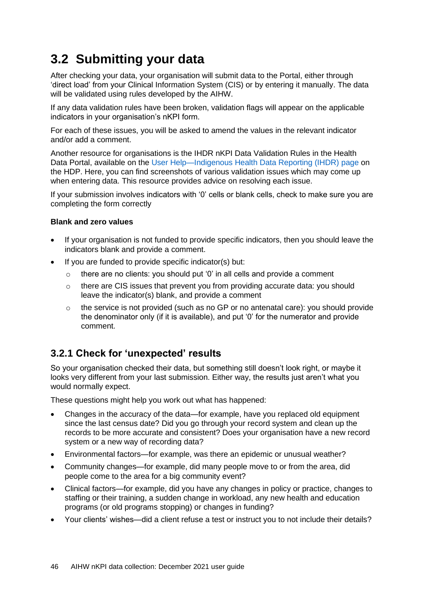## **3.2 Submitting your data**

After checking your data, your organisation will submit data to the Portal, either through 'direct load' from your Clinical Information System (CIS) or by entering it manually. The data will be validated using rules developed by the AIHW.

If any data validation rules have been broken, validation flags will appear on the applicable indicators in your organisation's nKPI form.

For each of these issues, you will be asked to amend the values in the relevant indicator and/or add a comment.

Another resource for organisations is the IHDR nKPI Data Validation Rules in the Health Data Portal, available on the [User Help—Indigenous Health Data Reporting \(IHDR\)](https://dataportal.health.gov.au/wps/portal/dataportalcontent/usersupport/userhelpihdr/!ut/p/a1/nZBdb4IwFIb_ym68bHqAgnBJdImIxJGZKL0xpRTpAqVCXeZ-_UpMFm_22bs3PXnPcx5M8QFTxV7liRnZK9ZOmQZHP0kTIOCmkC0JxJHv55GfQJjO8R5TTLky2jS4qJhhuh8Max94r4xQZgbjdTSim8FlFMN40dP3) page on the HDP. Here, you can find screenshots of various validation issues which may come up when entering data. This resource provides advice on resolving each issue.

If your submission involves indicators with '0' cells or blank cells, check to make sure you are completing the form correctly

#### **Blank and zero values**

- If your organisation is not funded to provide specific indicators, then you should leave the indicators blank and provide a comment.
- If you are funded to provide specific indicator(s) but:
	- o there are no clients: you should put '0' in all cells and provide a comment
	- $\circ$  there are CIS issues that prevent you from providing accurate data: you should leave the indicator(s) blank, and provide a comment
	- o the service is not provided (such as no GP or no antenatal care): you should provide the denominator only (if it is available), and put '0' for the numerator and provide comment.

### **3.2.1 Check for 'unexpected' results**

So your organisation checked their data, but something still doesn't look right, or maybe it looks very different from your last submission. Either way, the results just aren't what you would normally expect.

These questions might help you work out what has happened:

- Changes in the accuracy of the data—for example, have you replaced old equipment since the last census date? Did you go through your record system and clean up the records to be more accurate and consistent? Does your organisation have a new record system or a new way of recording data?
- Environmental factors—for example, was there an epidemic or unusual weather?
- Community changes—for example, did many people move to or from the area, did people come to the area for a big community event?
- Clinical factors—for example, did you have any changes in policy or practice, changes to staffing or their training, a sudden change in workload, any new health and education programs (or old programs stopping) or changes in funding?
- Your clients' wishes—did a client refuse a test or instruct you to not include their details?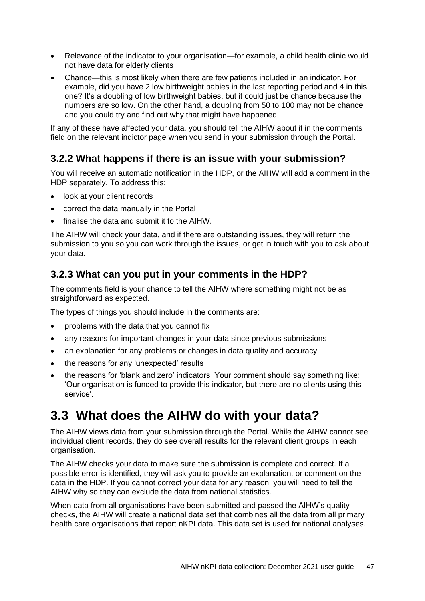- Relevance of the indicator to your organisation—for example, a child health clinic would not have data for elderly clients
- Chance—this is most likely when there are few patients included in an indicator. For example, did you have 2 low birthweight babies in the last reporting period and 4 in this one? It's a doubling of low birthweight babies, but it could just be chance because the numbers are so low. On the other hand, a doubling from 50 to 100 may not be chance and you could try and find out why that might have happened.

If any of these have affected your data, you should tell the AIHW about it in the comments field on the relevant indictor page when you send in your submission through the Portal.

### **3.2.2 What happens if there is an issue with your submission?**

You will receive an automatic notification in the HDP, or the AIHW will add a comment in the HDP separately. To address this:

- look at your client records
- correct the data manually in the Portal
- finalise the data and submit it to the AIHW.

The AIHW will check your data, and if there are outstanding issues, they will return the submission to you so you can work through the issues, or get in touch with you to ask about your data.

### **3.2.3 What can you put in your comments in the HDP?**

The comments field is your chance to tell the AIHW where something might not be as straightforward as expected.

The types of things you should include in the comments are:

- problems with the data that you cannot fix
- any reasons for important changes in your data since previous submissions
- an explanation for any problems or changes in data quality and accuracy
- the reasons for any 'unexpected' results
- the reasons for 'blank and zero' indicators. Your comment should say something like: 'Our organisation is funded to provide this indicator, but there are no clients using this service'.

## <span id="page-50-0"></span>**3.3 What does the AIHW do with your data?**

The AIHW views data from your submission through the Portal. While the AIHW cannot see individual client records, they do see overall results for the relevant client groups in each organisation.

The AIHW checks your data to make sure the submission is complete and correct. If a possible error is identified, they will ask you to provide an explanation, or comment on the data in the HDP. If you cannot correct your data for any reason, you will need to tell the AIHW why so they can exclude the data from national statistics.

When data from all organisations have been submitted and passed the AIHW's quality checks, the AIHW will create a national data set that combines all the data from all primary health care organisations that report nKPI data. This data set is used for national analyses.